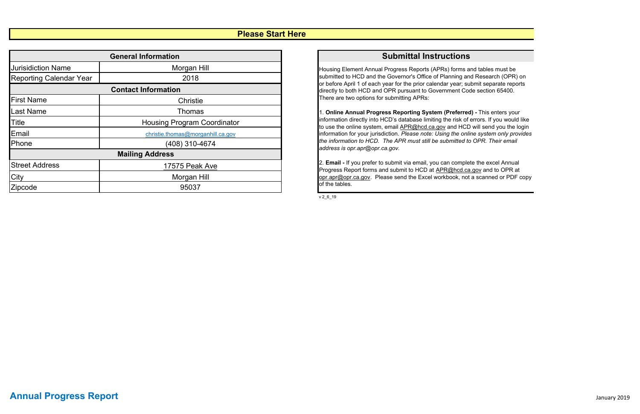v 2\_6\_19

### **Please Start Here**

## **Submittal Instructions**

Housing Element Annual Progress Reports (APRs) forms and tables must be submitted to HCD and the Governor's Office of Planning and Research (OPR) on or before April 1 of each year for the prior calendar year; submit separate reports directly to both HCD and OPR pursuant to Government Code section 65400. There are two options for submitting APRs:

|                                | <b>General Information</b>         |
|--------------------------------|------------------------------------|
| <b>Jurisidiction Name</b>      | Morgan Hill                        |
| <b>Reporting Calendar Year</b> | 2018                               |
|                                | <b>Contact Information</b>         |
| <b>First Name</b>              | <b>Christie</b>                    |
| <b>Last Name</b>               | <b>Thomas</b>                      |
| Title                          | <b>Housing Program Coordinator</b> |
| Email                          | christie.thomas@morganhill.ca.gov  |
| Phone                          | (408) 310-4674                     |
|                                | <b>Mailing Address</b>             |
| <b>Street Address</b>          | 17575 Peak Ave                     |
| City                           | Morgan Hill                        |
| Zipcode                        | 95037                              |

1. **Online Annual Progress Reporting System (Preferred) -** This enters your information directly into HCD's database limiting the risk of errors. If you would like to use the online system, email **APR@hcd.ca.gov** and HCD will send you the login information for your jurisdiction. *Please note: Using the online system only provides the information to HCD. The APR must still be submitted to OPR. Their email address is opr.apr@opr.ca.gov.*

2. **Email -** If you prefer to submit via email, you can complete the excel Annual Progress Report forms and submit to HCD at APR@hcd.ca.gov and to OPR at opr.apr@opr.ca.gov. Please send the Excel workbook, not a scanned or PDF copy of the tables.

# **Annual Progress Report** January <sup>2019</sup>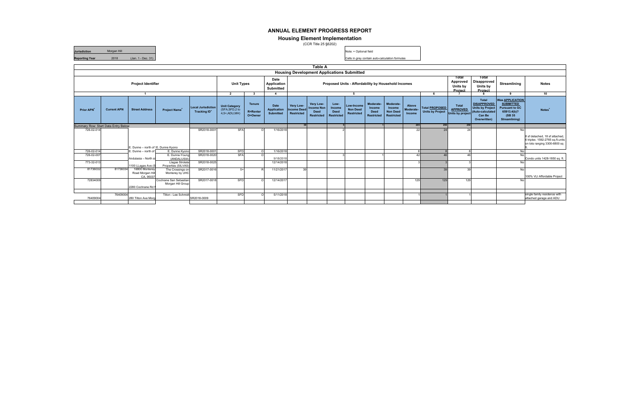|                                     |                    |                                                |                                             |                                                       |                                                         |                                             |                                                |                                               | Table A                                                            |                                             |                                                     |                                                         |                                                                    |                              |                                                  |                                                     |                                                                                                             |                                                                                                               |                                                                                                    |
|-------------------------------------|--------------------|------------------------------------------------|---------------------------------------------|-------------------------------------------------------|---------------------------------------------------------|---------------------------------------------|------------------------------------------------|-----------------------------------------------|--------------------------------------------------------------------|---------------------------------------------|-----------------------------------------------------|---------------------------------------------------------|--------------------------------------------------------------------|------------------------------|--------------------------------------------------|-----------------------------------------------------|-------------------------------------------------------------------------------------------------------------|---------------------------------------------------------------------------------------------------------------|----------------------------------------------------------------------------------------------------|
|                                     |                    |                                                |                                             |                                                       |                                                         |                                             |                                                |                                               | <b>Housing Development Applications Submitted</b>                  |                                             |                                                     |                                                         |                                                                    |                              |                                                  |                                                     |                                                                                                             |                                                                                                               |                                                                                                    |
|                                     |                    | <b>Project Identifier</b>                      |                                             |                                                       | <b>Unit Types</b>                                       |                                             | <b>Date</b><br>Application<br><b>Submitted</b> |                                               |                                                                    |                                             | Proposed Units - Affordability by Household Incomes |                                                         |                                                                    |                              |                                                  | Total<br>Approved<br>Units by<br>Project            | Total<br>Disapproved<br>Units by<br>Project                                                                 | Streamlining                                                                                                  | <b>Notes</b>                                                                                       |
|                                     |                    |                                                |                                             |                                                       | $\overline{2}$                                          |                                             |                                                |                                               |                                                                    |                                             | - 5                                                 |                                                         |                                                                    |                              |                                                  |                                                     |                                                                                                             | $\bullet$                                                                                                     | 10                                                                                                 |
| <b>Prior APN</b>                    | <b>Current APN</b> | <b>Street Address</b>                          | <b>Project Name<sup>+</sup></b>             | <b>Local Jurisdiction</b><br>Tracking ID <sup>+</sup> | <b>Unit Category</b><br>(SFA, SFD, 2 to<br>4,5+,ADU,MH) | <b>Tenure</b><br><b>R=Renter</b><br>O=Owner | Date<br><b>Application</b><br><b>Submitted</b> | Very Low-<br><b>Income Deed</b><br>Restricted | Very Low-<br><b>Income Non</b><br><b>Deed</b><br><b>Restricted</b> | Low-<br>Income<br><b>Deed</b><br>Restricted | Low-Income<br><b>Non Deed</b><br><b>Restricted</b>  | Moderate-<br>Income<br><b>Deed</b><br><b>Restricted</b> | Moderate-<br><b>Income</b><br><b>Non Deed</b><br><b>Restricted</b> | Above<br>Moderate-<br>Income | <b>Total PROPOSED</b><br><b>Units by Project</b> | Total<br><b>APPROVED</b><br><b>Units by project</b> | <b>Total</b><br><b>DISAPPROVED</b><br><b>Units by Project</b><br>(Auto-calculated<br>Can Be<br>Overwritten) | <b>Was APPLICATION</b><br><b>SUBMITTED</b><br><b>Pursuant to GC</b><br>65913.4(b)?<br>(SB 35<br>Streamlining) | Notes <sup>+</sup>                                                                                 |
| Summary Row: Start Data Entry Below |                    |                                                |                                             |                                                       |                                                         |                                             |                                                |                                               |                                                                    |                                             |                                                     |                                                         |                                                                    | 205                          | 250                                              | 250                                                 |                                                                                                             |                                                                                                               |                                                                                                    |
| 726-02-014                          |                    |                                                |                                             | SR2018-000                                            | <b>SFA</b>                                              |                                             | 1/16/2018                                      |                                               |                                                                    |                                             |                                                     |                                                         |                                                                    | 22                           | 24                                               | 24                                                  |                                                                                                             | No                                                                                                            |                                                                                                    |
|                                     |                    | Dunne - north of E. Dunne Kyono                |                                             |                                                       |                                                         |                                             |                                                |                                               |                                                                    |                                             |                                                     |                                                         |                                                                    |                              |                                                  |                                                     |                                                                                                             |                                                                                                               | 8 sf detached, 18 sf attached,<br>6 triplex. 1592-2765 sq.ft.units<br>on lots ranging 3300-6800 sq |
| 726-02-014                          |                    | Dunne - north of                               | E. Dunne Kyono                              | SR2018-0001                                           | SFD                                                     |                                             | 1/16/2018                                      |                                               |                                                                    |                                             |                                                     |                                                         |                                                                    | $\mathbf{R}$                 |                                                  |                                                     |                                                                                                             | <b>No</b>                                                                                                     |                                                                                                    |
| 726-02-007<br>773-32-013            |                    | Andulasia - North s                            | E. Dunne-Young<br>(ANDALUSIA)               | SR2018-0020<br>SR2018-0025                            | <b>SFA</b>                                              |                                             | 9/18/2018                                      |                                               |                                                                    |                                             |                                                     |                                                         |                                                                    | 42                           | 46                                               |                                                     |                                                                                                             | <b>No</b><br>No                                                                                               | Condo units 1428-1850 sq. ft.                                                                      |
|                                     |                    | 1100 LLagas Ave (S                             | Llagas Strolata<br>Properties (SILVAS)      |                                                       |                                                         |                                             | 12/14/2018                                     |                                               |                                                                    |                                             |                                                     |                                                         |                                                                    |                              |                                                  |                                                     |                                                                                                             |                                                                                                               |                                                                                                    |
| 81736032                            | 81736034           | 16800 Monterey<br>Road Morgan Hil<br>CA. 95037 | The Crossings on<br>Monterey by UHC         | SR2017-0016                                           | $-5+$                                                   |                                             | 11/21/2017                                     | 39                                            |                                                                    |                                             |                                                     |                                                         |                                                                    |                              | 39                                               | 3Q                                                  |                                                                                                             | <b>No</b>                                                                                                     | 100% VLI Affordable Project                                                                        |
| 72834009                            |                    | 2280 Cochrane Rd I                             | Cochrane San Sebastian<br>Morgan Hill Group | SR2017-0018                                           | SFD                                                     |                                             | 12/14/2017                                     |                                               |                                                                    |                                             |                                                     |                                                         |                                                                    | 129                          | 129                                              | 129                                                 |                                                                                                             | <b>No</b>                                                                                                     |                                                                                                    |
|                                     |                    |                                                |                                             |                                                       |                                                         |                                             |                                                |                                               |                                                                    |                                             |                                                     |                                                         |                                                                    |                              |                                                  |                                                     |                                                                                                             |                                                                                                               |                                                                                                    |
| 76409004                            | 76409004           | 280 Tilton Ave Mord                            | Tilton - Lee Schmidt                        | SR2018-0009                                           | <b>SFD</b>                                              |                                             | 5/11/2018                                      |                                               |                                                                    |                                             |                                                     |                                                         |                                                                    |                              |                                                  |                                                     |                                                                                                             |                                                                                                               | single family residence with<br>attached garage and ADU                                            |
|                                     |                    |                                                |                                             |                                                       |                                                         |                                             |                                                |                                               |                                                                    |                                             |                                                     |                                                         |                                                                    |                              |                                                  |                                                     |                                                                                                             |                                                                                                               |                                                                                                    |

Note: + Optional field

Cells in grey contain auto-calculation formulas

#### **ANNUAL ELEMENT PROGRESS REPORT**

#### **Housing Element Implementation**

(CCR Title 25 §6202)

**Jurisdiction** Morgan Hill **Reporting Year** 2018 (Jan. 1 - Dec. 31)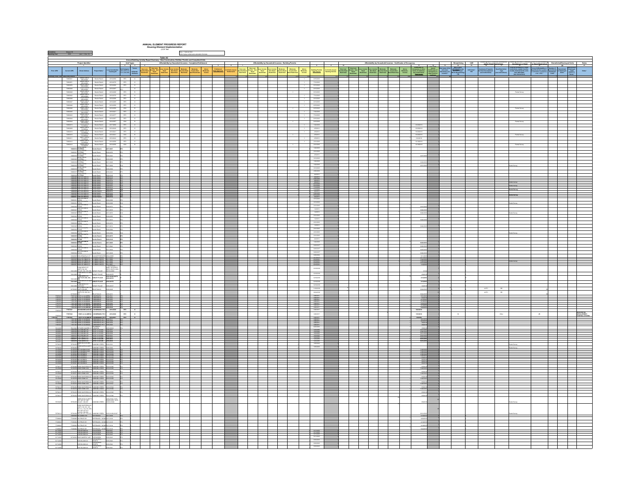|                                                                      |                                                                                                                                                                                   |                                                                                                                                                                                                                                                                                                                                                                                                                            |             |                                                                       | ANNUAL ELEMENT PROGRESS REPORT<br>$\label{thm:1} \begin{array}{ll} \textit{Housing Element}~\textit{Implementation} \\ \textit{\textbf{(CCR THE)}} \end{array}$       |                                                                          |                            |                                   |                                                                                        |                                                             |                             |                                           |                                                                                                                                                                                                                                                                                                                                                     |                                      |  |                                                                                  |                                                                                                                                                                                                                                                                                                                                                                                                                                                      |                  |                                            |               |                                                                                                                                                              |  |
|----------------------------------------------------------------------|-----------------------------------------------------------------------------------------------------------------------------------------------------------------------------------|----------------------------------------------------------------------------------------------------------------------------------------------------------------------------------------------------------------------------------------------------------------------------------------------------------------------------------------------------------------------------------------------------------------------------|-------------|-----------------------------------------------------------------------|-----------------------------------------------------------------------------------------------------------------------------------------------------------------------|--------------------------------------------------------------------------|----------------------------|-----------------------------------|----------------------------------------------------------------------------------------|-------------------------------------------------------------|-----------------------------|-------------------------------------------|-----------------------------------------------------------------------------------------------------------------------------------------------------------------------------------------------------------------------------------------------------------------------------------------------------------------------------------------------------|--------------------------------------|--|----------------------------------------------------------------------------------|------------------------------------------------------------------------------------------------------------------------------------------------------------------------------------------------------------------------------------------------------------------------------------------------------------------------------------------------------------------------------------------------------------------------------------------------------|------------------|--------------------------------------------|---------------|--------------------------------------------------------------------------------------------------------------------------------------------------------------|--|
|                                                                      |                                                                                                                                                                                   |                                                                                                                                                                                                                                                                                                                                                                                                                            |             |                                                                       |                                                                                                                                                                       | Note: + Optional Seld<br>Cells in grey contain auto-calculation formates |                            |                                   |                                                                                        |                                                             |                             |                                           |                                                                                                                                                                                                                                                                                                                                                     |                                      |  |                                                                                  |                                                                                                                                                                                                                                                                                                                                                                                                                                                      |                  |                                            |               |                                                                                                                                                              |  |
|                                                                      |                                                                                                                                                                                   |                                                                                                                                                                                                                                                                                                                                                                                                                            |             |                                                                       | Table A2                                                                                                                                                              |                                                                          |                            |                                   |                                                                                        |                                                             |                             |                                           |                                                                                                                                                                                                                                                                                                                                                     |                                      |  |                                                                                  |                                                                                                                                                                                                                                                                                                                                                                                                                                                      |                  |                                            |               |                                                                                                                                                              |  |
|                                                                      |                                                                                                                                                                                   |                                                                                                                                                                                                                                                                                                                                                                                                                            |             | Unit Types<br>2 3 3                                                   |                                                                                                                                                                       |                                                                          |                            |                                   |                                                                                        |                                                             |                             |                                           |                                                                                                                                                                                                                                                                                                                                                     |                                      |  |                                                                                  |                                                                                                                                                                                                                                                                                                                                                                                                                                                      |                  |                                            |               |                                                                                                                                                              |  |
|                                                                      |                                                                                                                                                                                   | Local Jurisdiction<br>Tracking ID <sup>+</sup>                                                                                                                                                                                                                                                                                                                                                                             |             | Unit Category<br>(SFA,SFD,210) Rivilladae (19)<br>4.5-ADU/M-0 Drivews | <b>Wy Low-Wey Low-</b><br>Great Boome Non-<br>Markind Restricted<br>Restricted Restricted<br>Low-Income<br>Deed<br>Restricted<br>Low-Income<br>Non Dead<br>Restricted | $\begin{array}{c} \text{Area} \\ \text{Mean} \\ \text{beam} \end{array}$ | Enthinset<br>Data Associat | r of Units issued<br>Entitlements | Very Line<br>Incame Nun<br>Pentrichel<br><b>Very Law-</b><br>Income Deed<br>Restricted | aw-Income<br>- Deed - Non-Deed<br>- Restricted - Restricted | -<br>Moderate<br>Restricted | Moderate<br>Income Non<br>Deed Restricted | $\begin{array}{c} {\rm Area} \\ {\rm Heisen} \\ {\rm mean} \end{array}$<br>Building Permits<br>Date Issued                                                                                                                                                                                                                                          | Fol Units Issued<br>Building Permits |  | $\begin{array}{c} \text{Also}\, a\\ \text{Weierms} \\ \text{Incons} \end{array}$ | $\begin{tabular}{ c c } \hline \multicolumn{1}{ c }{\textbf{Corr}(\textbf{E},\textbf{M})\textbf{u}} & \textbf{u}^{\textbf{t}}\\ \hline \multicolumn{1}{ c }{\textbf{Occupancy or other}}\\ \hline \multicolumn{1}{ c }{\textbf{f}(\textbf{u})\textbf{u}} & \textbf{c}^{\textbf{t}} & \textbf{f}(\textbf{u})\textbf{u}} & \textbf{f}^{\textbf{t}} \\ \hline \multicolumn{1}{ c }{\textbf{f}(\textbf{u})\textbf{u}} & \textbf{f}^{\textbf{t}} & \text$ | ndi uniu?<br>Yac | ed Restriction<br>- Type<br>a instructions |               | or Momber of Demokracie Demokracie<br>Chemokracie Demokracie Democrate<br>Demokracie Grand Demokracie<br>Chemor Chemokracie Demokracie<br>Resmant Demokracie |  |
| ia Entry Belo.                                                       |                                                                                                                                                                                   |                                                                                                                                                                                                                                                                                                                                                                                                                            |             |                                                                       |                                                                                                                                                                       |                                                                          |                            |                                   |                                                                                        |                                                             |                             |                                           | $-0.52018$                                                                                                                                                                                                                                                                                                                                          |                                      |  |                                                                                  |                                                                                                                                                                                                                                                                                                                                                                                                                                                      |                  |                                            |               |                                                                                                                                                              |  |
| 72060051<br>72860050                                                 |                                                                                                                                                                                   |                                                                                                                                                                                                                                                                                                                                                                                                                            |             |                                                                       |                                                                                                                                                                       |                                                                          |                            |                                   |                                                                                        |                                                             |                             |                                           | 2722018<br>6732018                                                                                                                                                                                                                                                                                                                                  |                                      |  |                                                                                  |                                                                                                                                                                                                                                                                                                                                                                                                                                                      |                  |                                            |               |                                                                                                                                                              |  |
| 72860049                                                             |                                                                                                                                                                                   |                                                                                                                                                                                                                                                                                                                                                                                                                            |             |                                                                       |                                                                                                                                                                       |                                                                          |                            |                                   |                                                                                        |                                                             |                             |                                           | 6/13/2018                                                                                                                                                                                                                                                                                                                                           |                                      |  |                                                                                  |                                                                                                                                                                                                                                                                                                                                                                                                                                                      |                  |                                            |               |                                                                                                                                                              |  |
| 7200000<br>72880042                                                  |                                                                                                                                                                                   |                                                                                                                                                                                                                                                                                                                                                                                                                            |             |                                                                       |                                                                                                                                                                       |                                                                          |                            |                                   |                                                                                        |                                                             |                             |                                           | 6132018<br>7/120218                                                                                                                                                                                                                                                                                                                                 |                                      |  |                                                                                  |                                                                                                                                                                                                                                                                                                                                                                                                                                                      |                  |                                            |               |                                                                                                                                                              |  |
| 72860542<br>72860042<br>72860042<br>72860046<br>72860045<br>72860045 |                                                                                                                                                                                   |                                                                                                                                                                                                                                                                                                                                                                                                                            |             |                                                                       |                                                                                                                                                                       |                                                                          |                            |                                   |                                                                                        |                                                             |                             |                                           |                                                                                                                                                                                                                                                                                                                                                     |                                      |  |                                                                                  |                                                                                                                                                                                                                                                                                                                                                                                                                                                      |                  |                                            |               |                                                                                                                                                              |  |
|                                                                      |                                                                                                                                                                                   |                                                                                                                                                                                                                                                                                                                                                                                                                            |             |                                                                       |                                                                                                                                                                       |                                                                          |                            |                                   |                                                                                        |                                                             |                             |                                           |                                                                                                                                                                                                                                                                                                                                                     |                                      |  |                                                                                  |                                                                                                                                                                                                                                                                                                                                                                                                                                                      |                  |                                            |               |                                                                                                                                                              |  |
|                                                                      |                                                                                                                                                                                   |                                                                                                                                                                                                                                                                                                                                                                                                                            |             |                                                                       |                                                                                                                                                                       |                                                                          |                            |                                   |                                                                                        |                                                             |                             |                                           |                                                                                                                                                                                                                                                                                                                                                     |                                      |  |                                                                                  |                                                                                                                                                                                                                                                                                                                                                                                                                                                      |                  |                                            |               |                                                                                                                                                              |  |
|                                                                      |                                                                                                                                                                                   |                                                                                                                                                                                                                                                                                                                                                                                                                            |             |                                                                       |                                                                                                                                                                       |                                                                          |                            |                                   |                                                                                        |                                                             |                             |                                           |                                                                                                                                                                                                                                                                                                                                                     |                                      |  |                                                                                  |                                                                                                                                                                                                                                                                                                                                                                                                                                                      |                  |                                            |               |                                                                                                                                                              |  |
| 72060044<br>72060044                                                 |                                                                                                                                                                                   | $\begin{tabular}{l c c c c c} \hline \textbf{WBD} \textbf{LODE} & \textbf{S} & \textbf{S} & \textbf{S} & \textbf{S} & \textbf{S} & \textbf{S} & \textbf{S} & \textbf{S} & \textbf{S} & \textbf{S} & \textbf{S} & \textbf{S} & \textbf{S} & \textbf{S} & \textbf{S} & \textbf{S} & \textbf{S} & \textbf{S} & \textbf{S} & \textbf{S} & \textbf{S} & \textbf{S} & \textbf{S} & \textbf{S} & \textbf{S} & \textbf{S} & \text$ |             |                                                                       |                                                                                                                                                                       |                                                                          |                            |                                   |                                                                                        |                                                             |                             |                                           | 6/15/2018<br>6/15/2018                                                                                                                                                                                                                                                                                                                              |                                      |  |                                                                                  | 10292018                                                                                                                                                                                                                                                                                                                                                                                                                                             |                  |                                            | Rantal        |                                                                                                                                                              |  |
| 72860013<br>72860008<br>72860010                                     |                                                                                                                                                                                   |                                                                                                                                                                                                                                                                                                                                                                                                                            |             |                                                                       |                                                                                                                                                                       |                                                                          |                            |                                   |                                                                                        |                                                             |                             |                                           | 1222018<br>250018<br>250018                                                                                                                                                                                                                                                                                                                         |                                      |  |                                                                                  | 1029.0018<br>1029.0018                                                                                                                                                                                                                                                                                                                                                                                                                               |                  |                                            |               |                                                                                                                                                              |  |
|                                                                      |                                                                                                                                                                                   |                                                                                                                                                                                                                                                                                                                                                                                                                            |             |                                                                       |                                                                                                                                                                       |                                                                          |                            |                                   |                                                                                        |                                                             |                             |                                           |                                                                                                                                                                                                                                                                                                                                                     |                                      |  |                                                                                  | 10292018<br>12/62218                                                                                                                                                                                                                                                                                                                                                                                                                                 |                  |                                            | Rantal Survey |                                                                                                                                                              |  |
| 72860010<br>72860011<br>72860012                                     |                                                                                                                                                                                   |                                                                                                                                                                                                                                                                                                                                                                                                                            |             |                                                                       |                                                                                                                                                                       |                                                                          |                            |                                   |                                                                                        |                                                             |                             |                                           | 25001<br>25001<br>201018                                                                                                                                                                                                                                                                                                                            |                                      |  |                                                                                  | 13182018                                                                                                                                                                                                                                                                                                                                                                                                                                             |                  |                                            |               |                                                                                                                                                              |  |
|                                                                      |                                                                                                                                                                                   |                                                                                                                                                                                                                                                                                                                                                                                                                            |             |                                                                       |                                                                                                                                                                       |                                                                          |                            |                                   |                                                                                        |                                                             |                             |                                           | 1010018                                                                                                                                                                                                                                                                                                                                             |                                      |  |                                                                                  |                                                                                                                                                                                                                                                                                                                                                                                                                                                      |                  |                                            |               |                                                                                                                                                              |  |
| 72800<br>7280002                                                     | $\begin{array}{r} \text{CATE} \\ \text{WTESSA} \\ \text{WTESSA} \\ \text{VED SOSA} \\ \text{VED GDFB} \\ \text{TDESSA} \\ \text{TDESSA} \\ \text{TDESSA} \\ \end{array}$          | Bereits Ranch<br>2017-0697<br>Borello Ranch 2018-0076 SFD                                                                                                                                                                                                                                                                                                                                                                  | are.        |                                                                       |                                                                                                                                                                       |                                                                          |                            |                                   |                                                                                        |                                                             |                             |                                           | 1020018<br>1010018                                                                                                                                                                                                                                                                                                                                  |                                      |  |                                                                                  |                                                                                                                                                                                                                                                                                                                                                                                                                                                      |                  |                                            |               |                                                                                                                                                              |  |
| 7266                                                                 |                                                                                                                                                                                   | a Ranch<br>coss                                                                                                                                                                                                                                                                                                                                                                                                            |             |                                                                       |                                                                                                                                                                       |                                                                          |                            |                                   |                                                                                        |                                                             |                             |                                           | 250018<br>212018                                                                                                                                                                                                                                                                                                                                    |                                      |  |                                                                                  |                                                                                                                                                                                                                                                                                                                                                                                                                                                      |                  |                                            |               |                                                                                                                                                              |  |
|                                                                      | ERNA<br>Biografia<br><b>SPELA</b>                                                                                                                                                 | <b>Bombo Ranch</b>                                                                                                                                                                                                                                                                                                                                                                                                         |             |                                                                       |                                                                                                                                                                       |                                                                          |                            |                                   |                                                                                        |                                                             |                             |                                           | 1222018<br>1222018<br>3/122018                                                                                                                                                                                                                                                                                                                      |                                      |  |                                                                                  |                                                                                                                                                                                                                                                                                                                                                                                                                                                      |                  |                                            |               |                                                                                                                                                              |  |
| 72803<br>72800019                                                    |                                                                                                                                                                                   | 2017-0699<br>Bombo Ranch<br>2019-0094                                                                                                                                                                                                                                                                                                                                                                                      |             |                                                                       |                                                                                                                                                                       |                                                                          |                            |                                   |                                                                                        |                                                             |                             |                                           |                                                                                                                                                                                                                                                                                                                                                     |                                      |  |                                                                                  |                                                                                                                                                                                                                                                                                                                                                                                                                                                      |                  |                                            |               |                                                                                                                                                              |  |
| 728600<br>728600                                                     |                                                                                                                                                                                   | data data<br>2018-0220<br><b>Bondo Ranch</b><br>2010-0148                                                                                                                                                                                                                                                                                                                                                                  |             |                                                                       |                                                                                                                                                                       |                                                                          |                            |                                   |                                                                                        |                                                             |                             |                                           | 4332018<br>443318                                                                                                                                                                                                                                                                                                                                   |                                      |  |                                                                                  |                                                                                                                                                                                                                                                                                                                                                                                                                                                      |                  |                                            |               |                                                                                                                                                              |  |
|                                                                      |                                                                                                                                                                                   | Borello Ranch<br>Borello Ranch<br>Borello Ranch<br>Borello Ranch                                                                                                                                                                                                                                                                                                                                                           |             |                                                                       |                                                                                                                                                                       |                                                                          |                            |                                   |                                                                                        |                                                             |                             |                                           | -040078<br>-030078<br>-040078<br>-040078                                                                                                                                                                                                                                                                                                            |                                      |  |                                                                                  |                                                                                                                                                                                                                                                                                                                                                                                                                                                      |                  |                                            |               |                                                                                                                                                              |  |
|                                                                      |                                                                                                                                                                                   |                                                                                                                                                                                                                                                                                                                                                                                                                            |             |                                                                       |                                                                                                                                                                       |                                                                          |                            |                                   |                                                                                        |                                                             |                             |                                           | $\begin{picture}(20,20) \put(0,0){\line(1,0){10}} \put(15,0){\line(1,0){10}} \put(15,0){\line(1,0){10}} \put(15,0){\line(1,0){10}} \put(15,0){\line(1,0){10}} \put(15,0){\line(1,0){10}} \put(15,0){\line(1,0){10}} \put(15,0){\line(1,0){10}} \put(15,0){\line(1,0){10}} \put(15,0){\line(1,0){10}} \put(15,0){\line(1,0){10}} \put(15,0){\line(1$ |                                      |  |                                                                                  |                                                                                                                                                                                                                                                                                                                                                                                                                                                      |                  |                                            |               |                                                                                                                                                              |  |
|                                                                      |                                                                                                                                                                                   | 72860054 2265 VA ORSETA 80465 Rands 2018 4280<br>72860038 2279 VA ORSETA 804450 Rands 2018 4151                                                                                                                                                                                                                                                                                                                            |             |                                                                       |                                                                                                                                                                       |                                                                          |                            |                                   |                                                                                        |                                                             |                             |                                           | 3/12/2018                                                                                                                                                                                                                                                                                                                                           |                                      |  |                                                                                  |                                                                                                                                                                                                                                                                                                                                                                                                                                                      |                  |                                            |               |                                                                                                                                                              |  |
|                                                                      | <b>TM CREST</b>                                                                                                                                                                   | <b>MORATOR</b>                                                                                                                                                                                                                                                                                                                                                                                                             |             |                                                                       |                                                                                                                                                                       |                                                                          |                            |                                   |                                                                                        |                                                             |                             |                                           | 3732018                                                                                                                                                                                                                                                                                                                                             |                                      |  |                                                                                  |                                                                                                                                                                                                                                                                                                                                                                                                                                                      |                  |                                            |               |                                                                                                                                                              |  |
|                                                                      | a<br>Ganaara                                                                                                                                                                      |                                                                                                                                                                                                                                                                                                                                                                                                                            |             |                                                                       |                                                                                                                                                                       |                                                                          |                            |                                   |                                                                                        |                                                             |                             |                                           | 3/13/2018<br>201/2018                                                                                                                                                                                                                                                                                                                               |                                      |  |                                                                                  |                                                                                                                                                                                                                                                                                                                                                                                                                                                      |                  |                                            |               |                                                                                                                                                              |  |
|                                                                      | <b>ATTACKY</b>                                                                                                                                                                    | <b>Bonda Ranch</b><br>consum<br>mas tri<br>io Ranch                                                                                                                                                                                                                                                                                                                                                                        |             |                                                                       |                                                                                                                                                                       |                                                                          |                            |                                   |                                                                                        |                                                             |                             |                                           | 100018                                                                                                                                                                                                                                                                                                                                              |                                      |  |                                                                                  | 10262                                                                                                                                                                                                                                                                                                                                                                                                                                                |                  |                                            |               |                                                                                                                                                              |  |
| 728600                                                               |                                                                                                                                                                                   | Borello Ranch 2017-0679<br>s Randy                                                                                                                                                                                                                                                                                                                                                                                         |             |                                                                       |                                                                                                                                                                       |                                                                          |                            |                                   |                                                                                        |                                                             |                             |                                           |                                                                                                                                                                                                                                                                                                                                                     |                                      |  |                                                                                  | 102620                                                                                                                                                                                                                                                                                                                                                                                                                                               |                  |                                            |               |                                                                                                                                                              |  |
|                                                                      | <b>ANNIA</b>                                                                                                                                                                      | <b>Bombo Ranch</b><br>son cans                                                                                                                                                                                                                                                                                                                                                                                             |             |                                                                       |                                                                                                                                                                       |                                                                          |                            |                                   |                                                                                        |                                                             |                             |                                           | siggna<br>2010018                                                                                                                                                                                                                                                                                                                                   |                                      |  |                                                                                  |                                                                                                                                                                                                                                                                                                                                                                                                                                                      |                  |                                            |               |                                                                                                                                                              |  |
|                                                                      | a<br>Waxaana                                                                                                                                                                      | Awa<br>o Ranch<br>0.0656                                                                                                                                                                                                                                                                                                                                                                                                   |             |                                                                       |                                                                                                                                                                       |                                                                          |                            |                                   |                                                                                        |                                                             |                             |                                           | 10/0018<br>3010018                                                                                                                                                                                                                                                                                                                                  |                                      |  |                                                                                  |                                                                                                                                                                                                                                                                                                                                                                                                                                                      |                  |                                            |               |                                                                                                                                                              |  |
|                                                                      | itia.<br>Waliofariki                                                                                                                                                              | to Ranch<br>01009101                                                                                                                                                                                                                                                                                                                                                                                                       |             |                                                                       |                                                                                                                                                                       |                                                                          |                            |                                   |                                                                                        |                                                             |                             |                                           | 3010018<br>3010018                                                                                                                                                                                                                                                                                                                                  |                                      |  |                                                                                  |                                                                                                                                                                                                                                                                                                                                                                                                                                                      |                  |                                            |               |                                                                                                                                                              |  |
| 728600                                                               | HE ELENA<br>2280 VALSANTA<br>2380 VALSANTA                                                                                                                                        | Barello Ranch 2018-0275<br>anassa.<br>Barello Ranch                                                                                                                                                                                                                                                                                                                                                                        |             |                                                                       |                                                                                                                                                                       |                                                                          |                            |                                   |                                                                                        |                                                             |                             |                                           | 440018<br>1030018                                                                                                                                                                                                                                                                                                                                   |                                      |  |                                                                                  |                                                                                                                                                                                                                                                                                                                                                                                                                                                      |                  |                                            |               |                                                                                                                                                              |  |
|                                                                      |                                                                                                                                                                                   | cess <sup>7</sup><br>a Ranch                                                                                                                                                                                                                                                                                                                                                                                               |             |                                                                       |                                                                                                                                                                       |                                                                          |                            |                                   |                                                                                        |                                                             |                             |                                           | 12090317                                                                                                                                                                                                                                                                                                                                            |                                      |  |                                                                                  |                                                                                                                                                                                                                                                                                                                                                                                                                                                      |                  |                                            |               |                                                                                                                                                              |  |
|                                                                      | a<br>Waanta                                                                                                                                                                       | 2017-0629                                                                                                                                                                                                                                                                                                                                                                                                                  |             |                                                                       |                                                                                                                                                                       |                                                                          |                            |                                   |                                                                                        |                                                             |                             |                                           | 12000317<br>12090817                                                                                                                                                                                                                                                                                                                                |                                      |  |                                                                                  |                                                                                                                                                                                                                                                                                                                                                                                                                                                      |                  |                                            |               |                                                                                                                                                              |  |
|                                                                      |                                                                                                                                                                                   | assis Randi<br>2017-0638<br>1000 ARGUELLO CT. ALICANTE ESTATES 2004 0085                                                                                                                                                                                                                                                                                                                                                   |             |                                                                       |                                                                                                                                                                       |                                                                          |                            |                                   |                                                                                        |                                                             |                             |                                           |                                                                                                                                                                                                                                                                                                                                                     |                                      |  |                                                                                  | 102620<br>\$1120                                                                                                                                                                                                                                                                                                                                                                                                                                     |                  |                                            |               |                                                                                                                                                              |  |
|                                                                      |                                                                                                                                                                                   |                                                                                                                                                                                                                                                                                                                                                                                                                            |             |                                                                       |                                                                                                                                                                       |                                                                          |                            |                                   |                                                                                        |                                                             |                             |                                           |                                                                                                                                                                                                                                                                                                                                                     |                                      |  |                                                                                  |                                                                                                                                                                                                                                                                                                                                                                                                                                                      |                  |                                            |               |                                                                                                                                                              |  |
|                                                                      |                                                                                                                                                                                   | 2017-0047<br>2016-00366-<br>20373, 30376-00371<br>20373, 30376, 2016<br>20373-00380                                                                                                                                                                                                                                                                                                                                        |             |                                                                       |                                                                                                                                                                       |                                                                          |                            |                                   |                                                                                        |                                                             |                             |                                           | 12162018                                                                                                                                                                                                                                                                                                                                            |                                      |  |                                                                                  |                                                                                                                                                                                                                                                                                                                                                                                                                                                      |                  |                                            |               |                                                                                                                                                              |  |
|                                                                      |                                                                                                                                                                                   | <b>EXPLAGE</b>                                                                                                                                                                                                                                                                                                                                                                                                             |             |                                                                       |                                                                                                                                                                       |                                                                          |                            |                                   |                                                                                        |                                                             |                             |                                           | 12192018                                                                                                                                                                                                                                                                                                                                            |                                      |  |                                                                                  |                                                                                                                                                                                                                                                                                                                                                                                                                                                      |                  |                                            |               |                                                                                                                                                              |  |
|                                                                      |                                                                                                                                                                                   | 2013 - AN AN AN INNIS<br>1950 DEPOT ST LINI<br>1950 DEPOT ST<br>1950 DEPOT ST<br>1951 - 221-222, 224, BARLEY PLACE - 2016-0338-03272<br>1956 - 221 - 221, 224, BARLEY PLACE - 2016-03372                                                                                                                                                                                                                                   |             |                                                                       |                                                                                                                                                                       |                                                                          |                            |                                   |                                                                                        |                                                             |                             |                                           | 12162218                                                                                                                                                                                                                                                                                                                                            |                                      |  |                                                                                  | 26201<br>214201                                                                                                                                                                                                                                                                                                                                                                                                                                      |                  |                                            |               |                                                                                                                                                              |  |
| 726140                                                               | 72614069 (AuTh 303)<br>No MONTERS                                                                                                                                                 | <b>100</b><br>19360 DEPOT ST UNIT BARLEY PLACE 2016-02278<br>1944<br>ENRIGHT ANNUAL SERVICE                                                                                                                                                                                                                                                                                                                                |             |                                                                       |                                                                                                                                                                       |                                                                          |                            |                                   |                                                                                        |                                                             |                             |                                           | 12162018<br>12162218                                                                                                                                                                                                                                                                                                                                |                                      |  |                                                                                  | 313201<br>3220                                                                                                                                                                                                                                                                                                                                                                                                                                       |                  |                                            |               |                                                                                                                                                              |  |
|                                                                      | NETS 200-205<br>ETAD MONTERS Y I<br>NETS 101-106, 201<br>                                                                                                                         |                                                                                                                                                                                                                                                                                                                                                                                                                            |             |                                                                       |                                                                                                                                                                       |                                                                          |                            |                                   |                                                                                        |                                                             |                             |                                           | 1129/2016<br>10362016                                                                                                                                                                                                                                                                                                                               |                                      |  |                                                                                  |                                                                                                                                                                                                                                                                                                                                                                                                                                                      |                  | ce<br>$^{10}$<br>usec                      |               |                                                                                                                                                              |  |
| 81700                                                                |                                                                                                                                                                                   | <b>DUAR RUS</b><br>response                                                                                                                                                                                                                                                                                                                                                                                                |             |                                                                       |                                                                                                                                                                       |                                                                          |                            |                                   |                                                                                        |                                                             |                             |                                           |                                                                                                                                                                                                                                                                                                                                                     |                                      |  |                                                                                  | 10245                                                                                                                                                                                                                                                                                                                                                                                                                                                |                  |                                            |               |                                                                                                                                                              |  |
|                                                                      |                                                                                                                                                                                   |                                                                                                                                                                                                                                                                                                                                                                                                                            |             |                                                                       |                                                                                                                                                                       |                                                                          |                            |                                   |                                                                                        |                                                             |                             |                                           |                                                                                                                                                                                                                                                                                                                                                     |                                      |  |                                                                                  |                                                                                                                                                                                                                                                                                                                                                                                                                                                      |                  |                                            |               |                                                                                                                                                              |  |
|                                                                      |                                                                                                                                                                                   |                                                                                                                                                                                                                                                                                                                                                                                                                            |             |                                                                       |                                                                                                                                                                       |                                                                          |                            |                                   |                                                                                        |                                                             |                             |                                           |                                                                                                                                                                                                                                                                                                                                                     |                                      |  |                                                                                  | 51520<br>5222818                                                                                                                                                                                                                                                                                                                                                                                                                                     |                  |                                            |               |                                                                                                                                                              |  |
| 7765760<br>7765761                                                   |                                                                                                                                                                                   |                                                                                                                                                                                                                                                                                                                                                                                                                            |             |                                                                       |                                                                                                                                                                       |                                                                          |                            |                                   |                                                                                        |                                                             |                             |                                           | 3282017                                                                                                                                                                                                                                                                                                                                             |                                      |  |                                                                                  | 7232018                                                                                                                                                                                                                                                                                                                                                                                                                                              | $\,$ $\,$ $\,$   | $_{\rm OBe}$                               | $\,$ 45       |                                                                                                                                                              |  |
|                                                                      |                                                                                                                                                                                   |                                                                                                                                                                                                                                                                                                                                                                                                                            |             |                                                                       |                                                                                                                                                                       |                                                                          |                            |                                   |                                                                                        |                                                             |                             |                                           |                                                                                                                                                                                                                                                                                                                                                     |                                      |  |                                                                                  | 742111                                                                                                                                                                                                                                                                                                                                                                                                                                               |                  |                                            |               |                                                                                                                                                              |  |
|                                                                      |                                                                                                                                                                                   |                                                                                                                                                                                                                                                                                                                                                                                                                            |             |                                                                       |                                                                                                                                                                       |                                                                          |                            |                                   |                                                                                        |                                                             |                             |                                           | 3282017                                                                                                                                                                                                                                                                                                                                             |                                      |  |                                                                                  |                                                                                                                                                                                                                                                                                                                                                                                                                                                      |                  |                                            |               |                                                                                                                                                              |  |
| 764121<br>72654<br>72654<br>72654                                    | 26<br>Externo un desemporador<br>Externo un desemporador<br>Externo un desemporador<br>Externo un desemporador                                                                    | LMONTE<br>ROLSTATION 2015-00418<br>POTSTATION 2016-0037<br>POTSTATION 2016-0038<br>POTSTATION 2016-0039<br>POTSTATION 2016-0039                                                                                                                                                                                                                                                                                            |             |                                                                       |                                                                                                                                                                       |                                                                          |                            |                                   |                                                                                        |                                                             |                             |                                           |                                                                                                                                                                                                                                                                                                                                                     |                                      |  |                                                                                  |                                                                                                                                                                                                                                                                                                                                                                                                                                                      |                  |                                            |               |                                                                                                                                                              |  |
|                                                                      |                                                                                                                                                                                   |                                                                                                                                                                                                                                                                                                                                                                                                                            |             |                                                                       |                                                                                                                                                                       |                                                                          |                            |                                   |                                                                                        |                                                             |                             |                                           |                                                                                                                                                                                                                                                                                                                                                     |                                      |  |                                                                                  |                                                                                                                                                                                                                                                                                                                                                                                                                                                      |                  |                                            |               |                                                                                                                                                              |  |
| reness<br>N7602                                                      |                                                                                                                                                                                   | 7365611 17317 06POT ST 06POT STATION 2016-0033<br>73656111 17317 06POT ST 06POT STATION 2016-0036<br>business peaks are and                                                                                                                                                                                                                                                                                                |             |                                                                       |                                                                                                                                                                       |                                                                          |                            |                                   |                                                                                        |                                                             |                             |                                           | 1222016                                                                                                                                                                                                                                                                                                                                             |                                      |  |                                                                                  | 1018-201<br>1019-201                                                                                                                                                                                                                                                                                                                                                                                                                                 |                  |                                            |               |                                                                                                                                                              |  |
| $N22026$                                                             | NG LKUN                                                                                                                                                                           |                                                                                                                                                                                                                                                                                                                                                                                                                            |             |                                                                       |                                                                                                                                                                       |                                                                          |                            |                                   |                                                                                        |                                                             |                             |                                           |                                                                                                                                                                                                                                                                                                                                                     |                                      |  |                                                                                  |                                                                                                                                                                                                                                                                                                                                                                                                                                                      |                  |                                            |               |                                                                                                                                                              |  |
|                                                                      |                                                                                                                                                                                   |                                                                                                                                                                                                                                                                                                                                                                                                                            |             |                                                                       |                                                                                                                                                                       |                                                                          |                            |                                   |                                                                                        |                                                             |                             |                                           |                                                                                                                                                                                                                                                                                                                                                     |                                      |  |                                                                                  |                                                                                                                                                                                                                                                                                                                                                                                                                                                      |                  |                                            |               |                                                                                                                                                              |  |
|                                                                      |                                                                                                                                                                                   |                                                                                                                                                                                                                                                                                                                                                                                                                            |             |                                                                       |                                                                                                                                                                       |                                                                          |                            |                                   |                                                                                        |                                                             |                             |                                           |                                                                                                                                                                                                                                                                                                                                                     |                                      |  |                                                                                  |                                                                                                                                                                                                                                                                                                                                                                                                                                                      |                  |                                            |               |                                                                                                                                                              |  |
| rene<br>NNs                                                          | <b>SANTORING</b>                                                                                                                                                                  | CHO CREEK<br>crsen-                                                                                                                                                                                                                                                                                                                                                                                                        |             |                                                                       |                                                                                                                                                                       |                                                                          |                            |                                   |                                                                                        |                                                             |                             |                                           |                                                                                                                                                                                                                                                                                                                                                     |                                      |  |                                                                                  | sso                                                                                                                                                                                                                                                                                                                                                                                                                                                  |                  |                                            |               |                                                                                                                                                              |  |
| NNet                                                                 |                                                                                                                                                                                   | <b>BESS-CENS</b><br>TEFSEDS THEY SANTORING UNLOCKED CREEK                                                                                                                                                                                                                                                                                                                                                                  |             |                                                                       |                                                                                                                                                                       |                                                                          |                            |                                   |                                                                                        |                                                             |                             |                                           |                                                                                                                                                                                                                                                                                                                                                     |                                      |  |                                                                                  | 19520                                                                                                                                                                                                                                                                                                                                                                                                                                                |                  |                                            |               |                                                                                                                                                              |  |
|                                                                      |                                                                                                                                                                                   |                                                                                                                                                                                                                                                                                                                                                                                                                            |             |                                                                       |                                                                                                                                                                       |                                                                          |                            |                                   |                                                                                        |                                                             |                             |                                           |                                                                                                                                                                                                                                                                                                                                                     |                                      |  |                                                                                  | 195201                                                                                                                                                                                                                                                                                                                                                                                                                                               |                  |                                            |               |                                                                                                                                                              |  |
| NNet                                                                 |                                                                                                                                                                                   | TETSECH 19830 SANTORIN LW CHARDED DREEK 2013-01843                                                                                                                                                                                                                                                                                                                                                                         |             |                                                                       |                                                                                                                                                                       |                                                                          |                            |                                   |                                                                                        |                                                             |                             |                                           |                                                                                                                                                                                                                                                                                                                                                     |                                      |  |                                                                                  | 152018                                                                                                                                                                                                                                                                                                                                                                                                                                               |                  |                                            |               |                                                                                                                                                              |  |
| NNex                                                                 |                                                                                                                                                                                   | TETSISSE 19840 SANTORINI LN DAMICHO CREEK 2013-01844                                                                                                                                                                                                                                                                                                                                                                       | <b>Jack</b> |                                                                       |                                                                                                                                                                       |                                                                          |                            |                                   |                                                                                        |                                                             |                             |                                           |                                                                                                                                                                                                                                                                                                                                                     |                                      |  |                                                                                  | 152010                                                                                                                                                                                                                                                                                                                                                                                                                                               |                  |                                            |               |                                                                                                                                                              |  |
|                                                                      | 60 SANTORIN LN                                                                                                                                                                    | TETHIOS TIMO SANTORIN LIV DAMOND CREEK 2013-01845<br>CND CREEK<br>asso.                                                                                                                                                                                                                                                                                                                                                    |             |                                                                       |                                                                                                                                                                       |                                                                          |                            |                                   |                                                                                        |                                                             |                             |                                           |                                                                                                                                                                                                                                                                                                                                                     |                                      |  |                                                                                  | sson                                                                                                                                                                                                                                                                                                                                                                                                                                                 |                  |                                            |               |                                                                                                                                                              |  |
|                                                                      | MIS NICSÍ LN LINI<br>3, 102-107, 200,<br>2-207, 300-307                                                                                                                           | 1541923, 2015<br> 825-01831, 2015<br> 833-01840                                                                                                                                                                                                                                                                                                                                                                            |             |                                                                       |                                                                                                                                                                       |                                                                          |                            |                                   |                                                                                        |                                                             |                             |                                           |                                                                                                                                                                                                                                                                                                                                                     |                                      |  |                                                                                  |                                                                                                                                                                                                                                                                                                                                                                                                                                                      |                  |                                            |               |                                                                                                                                                              |  |
|                                                                      | $\begin{array}{l} 11.096 - 14.04 \\ \hline 40.54837048181, 186, 176, 176, 187, 188, 187 \\ 175, 1826133, 188, 207 \\ 200, 207471, 189433, 187 \\ 134233, 208433, 211 \end{array}$ |                                                                                                                                                                                                                                                                                                                                                                                                                            |             |                                                                       |                                                                                                                                                                       |                                                                          |                            |                                   |                                                                                        |                                                             |                             |                                           |                                                                                                                                                                                                                                                                                                                                                     |                                      |  |                                                                                  |                                                                                                                                                                                                                                                                                                                                                                                                                                                      |                  |                                            |               |                                                                                                                                                              |  |
|                                                                      |                                                                                                                                                                                   |                                                                                                                                                                                                                                                                                                                                                                                                                            |             |                                                                       |                                                                                                                                                                       |                                                                          |                            |                                   |                                                                                        |                                                             |                             |                                           |                                                                                                                                                                                                                                                                                                                                                     |                                      |  |                                                                                  |                                                                                                                                                                                                                                                                                                                                                                                                                                                      |                  |                                            |               |                                                                                                                                                              |  |
|                                                                      | 80 PROEDR                                                                                                                                                                         | <b>WAX-WOM</b><br>4000                                                                                                                                                                                                                                                                                                                                                                                                     |             |                                                                       |                                                                                                                                                                       |                                                                          |                            |                                   |                                                                                        |                                                             |                             |                                           |                                                                                                                                                                                                                                                                                                                                                     |                                      |  |                                                                                  | 42620                                                                                                                                                                                                                                                                                                                                                                                                                                                |                  |                                            |               |                                                                                                                                                              |  |
| 77308064                                                             |                                                                                                                                                                                   | A 833 PROCEDR - ISBN REPORTED - RO 2010 DER                                                                                                                                                                                                                                                                                                                                                                                |             |                                                                       |                                                                                                                                                                       |                                                                          |                            |                                   |                                                                                        |                                                             |                             |                                           |                                                                                                                                                                                                                                                                                                                                                     |                                      |  |                                                                                  | 418201                                                                                                                                                                                                                                                                                                                                                                                                                                               |                  |                                            |               |                                                                                                                                                              |  |
|                                                                      | Secsion.                                                                                                                                                                          | ANZA - WOL                                                                                                                                                                                                                                                                                                                                                                                                                 |             |                                                                       |                                                                                                                                                                       |                                                                          |                            |                                   |                                                                                        |                                                             |                             |                                           |                                                                                                                                                                                                                                                                                                                                                     |                                      |  |                                                                                  |                                                                                                                                                                                                                                                                                                                                                                                                                                                      |                  |                                            |               |                                                                                                                                                              |  |
|                                                                      |                                                                                                                                                                                   |                                                                                                                                                                                                                                                                                                                                                                                                                            |             |                                                                       |                                                                                                                                                                       |                                                                          |                            |                                   |                                                                                        |                                                             |                             |                                           |                                                                                                                                                                                                                                                                                                                                                     |                                      |  |                                                                                  |                                                                                                                                                                                                                                                                                                                                                                                                                                                      |                  |                                            |               |                                                                                                                                                              |  |
|                                                                      |                                                                                                                                                                                   | <b>COLEGY</b>                                                                                                                                                                                                                                                                                                                                                                                                              |             |                                                                       |                                                                                                                                                                       |                                                                          |                            |                                   |                                                                                        |                                                             |                             |                                           | 6192018                                                                                                                                                                                                                                                                                                                                             |                                      |  |                                                                                  |                                                                                                                                                                                                                                                                                                                                                                                                                                                      |                  |                                            |               |                                                                                                                                                              |  |
|                                                                      |                                                                                                                                                                                   |                                                                                                                                                                                                                                                                                                                                                                                                                            |             |                                                                       |                                                                                                                                                                       |                                                                          |                            |                                   |                                                                                        |                                                             |                             |                                           | snagos                                                                                                                                                                                                                                                                                                                                              |                                      |  |                                                                                  |                                                                                                                                                                                                                                                                                                                                                                                                                                                      |                  |                                            |               |                                                                                                                                                              |  |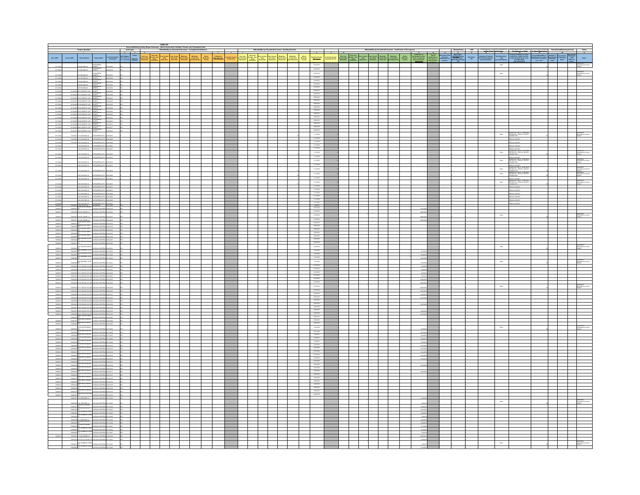|                                   |                              | <b>Project Identifier</b>                                                                                                                                                                                                                                                                                                                        |                                                                 |  |  | Table A2<br>Armari Building Activity Regard Summary . That Add Lindson, Particular Armain and Completed Units.<br>After Country 1974. An anti-State System and Completed Entries.<br>2003-2012 - An and Complete System and Complete Entries |                                                                             |                             | Affordability by Household Incomes - Building Permits |                        |                         |                                                 |                                                                               | $\overline{\phantom{a}}$                 |                                            |  | Affordability by Household Incomes - Certificates of O                                                                                                                                                                                                                                                                                                                                                                                                                |                                                                                                                                                                                    |  |                                                                   |                        |                                                                                                                                                                          |                                                                                                                                                                                                                                                                                               |  |
|-----------------------------------|------------------------------|--------------------------------------------------------------------------------------------------------------------------------------------------------------------------------------------------------------------------------------------------------------------------------------------------------------------------------------------------|-----------------------------------------------------------------|--|--|----------------------------------------------------------------------------------------------------------------------------------------------------------------------------------------------------------------------------------------------|-----------------------------------------------------------------------------|-----------------------------|-------------------------------------------------------|------------------------|-------------------------|-------------------------------------------------|-------------------------------------------------------------------------------|------------------------------------------|--------------------------------------------|--|-----------------------------------------------------------------------------------------------------------------------------------------------------------------------------------------------------------------------------------------------------------------------------------------------------------------------------------------------------------------------------------------------------------------------------------------------------------------------|------------------------------------------------------------------------------------------------------------------------------------------------------------------------------------|--|-------------------------------------------------------------------|------------------------|--------------------------------------------------------------------------------------------------------------------------------------------------------------------------|-----------------------------------------------------------------------------------------------------------------------------------------------------------------------------------------------------------------------------------------------------------------------------------------------|--|
|                                   |                              |                                                                                                                                                                                                                                                                                                                                                  | <b>Local Jurisdiction<br/>Tracking ID</b>                       |  |  |                                                                                                                                                                                                                                              | -<br>Moderata - Above<br>Deed Restricted - Moderate -<br>Moore - Moderate - | Estimated Polymana Contains |                                                       | Low-Income<br>Non Dead | Muderate<br>Income Dead | Moderate<br>Income Non<br>- - - - - - - - - - - | $\begin{array}{c} {\bf Also} \\ {\bf NoGauss} \\ {\bf NoGauss} \end{array} .$ | Building Permits<br>Data Issued          | <b>Folloin issued<br/>Building Pormits</b> |  | $\begin{tabular}{l c c c c c c c} \hline \multicolumn{3}{c}{Wey Low & New House & Low income &}{\small I.000 & New Some &\\ We come Dood & New Dood & New Dood & New Double & & \small I.000 & \small I.000 & \small I.000 & \small I.000 & \small I.000 & \small I.000 & \small I.000 & \small I.000 & \small I.000 & \small I.000 & \small I.000 & \small I.000 & \small I.000 & \small I.000 & \small I.000 & \small I.000 & \small I.000 & \small I.000 & \small$ | $\begin{tabular}{l c c } \hline & Coefficients of \\ \hline Abox & Couspacy of other \\ \hline Wedened & 50008 of conditions \\ \hline 50009 & 5400000000 \\ \hline \end{tabular}$ |  | -<br>Assistance Programs<br>for Each Development<br>-<br>Talus Bh | ed Restriction<br>Type |                                                                                                                                                                          | $\begin{tabular}{l c c c} \textbf{Number of} & \textbf{Desmulated} & \textbf{Desmulated} \\ \textbf{Demotained} & \textbf{Desmological} & \textbf{Obsmoyed} \\ \textbf{Desmoyed} & \textbf{asmoyed} & \textbf{Cumia} \\ \textbf{Dosmoyed} & \textbf{Cumia} & \textbf{Cumia} \\ \end{tabular}$ |  |
|                                   |                              |                                                                                                                                                                                                                                                                                                                                                  |                                                                 |  |  |                                                                                                                                                                                                                                              |                                                                             |                             |                                                       |                        |                         |                                                 |                                                                               | enezone                                  |                                            |  |                                                                                                                                                                                                                                                                                                                                                                                                                                                                       |                                                                                                                                                                                    |  |                                                                   | $_{\text{conv}}$       |                                                                                                                                                                          |                                                                                                                                                                                                                                                                                               |  |
|                                   |                              | <b>LOONLN</b><br>SIS BLOOMEN                                                                                                                                                                                                                                                                                                                     | pora case                                                       |  |  |                                                                                                                                                                                                                                              |                                                                             |                             |                                                       |                        |                         |                                                 |                                                                               | 6192018                                  |                                            |  |                                                                                                                                                                                                                                                                                                                                                                                                                                                                       |                                                                                                                                                                                    |  |                                                                   |                        |                                                                                                                                                                          |                                                                                                                                                                                                                                                                                               |  |
| 8171200                           |                              | KINDONEN                                                                                                                                                                                                                                                                                                                                         |                                                                 |  |  |                                                                                                                                                                                                                                              |                                                                             |                             |                                                       |                        |                         |                                                 |                                                                               | 8082018                                  |                                            |  |                                                                                                                                                                                                                                                                                                                                                                                                                                                                       |                                                                                                                                                                                    |  |                                                                   | one                    |                                                                                                                                                                          |                                                                                                                                                                                                                                                                                               |  |
| 41712006<br>81712006              |                              | 1217 BLOOM LN<br>GATECOMEN VENETO                                                                                                                                                                                                                                                                                                                | 2010/05/06<br>pora case                                         |  |  |                                                                                                                                                                                                                                              |                                                                             |                             |                                                       |                        |                         |                                                 |                                                                               | \$102018<br>9/19/2018                    |                                            |  |                                                                                                                                                                                                                                                                                                                                                                                                                                                                       |                                                                                                                                                                                    |  |                                                                   |                        |                                                                                                                                                                          |                                                                                                                                                                                                                                                                                               |  |
| 41712006                          |                              | 1225 BLOCHLIN HENETO<br><b>SET BLOOM LN</b>                                                                                                                                                                                                                                                                                                      | persona                                                         |  |  |                                                                                                                                                                                                                                              |                                                                             |                             |                                                       |                        |                         |                                                 |                                                                               | 5152018<br>5152018                       |                                            |  |                                                                                                                                                                                                                                                                                                                                                                                                                                                                       |                                                                                                                                                                                    |  |                                                                   |                        |                                                                                                                                                                          |                                                                                                                                                                                                                                                                                               |  |
| 1171209<br>81712006               | 17400                        | <b>VENETO</b><br>VANGRIEKE<br>16715 MURPHY AVE                                                                                                                                                                                                                                                                                                   | con era                                                         |  |  |                                                                                                                                                                                                                                              |                                                                             |                             |                                                       |                        |                         |                                                 |                                                                               | 5/25/2018<br>5/25/2018                   |                                            |  |                                                                                                                                                                                                                                                                                                                                                                                                                                                                       |                                                                                                                                                                                    |  |                                                                   |                        |                                                                                                                                                                          |                                                                                                                                                                                                                                                                                               |  |
|                                   |                              |                                                                                                                                                                                                                                                                                                                                                  |                                                                 |  |  |                                                                                                                                                                                                                                              |                                                                             |                             |                                                       |                        |                         |                                                 |                                                                               | 6282018<br>6282018<br>6282018            |                                            |  |                                                                                                                                                                                                                                                                                                                                                                                                                                                                       |                                                                                                                                                                                    |  |                                                                   |                        |                                                                                                                                                                          |                                                                                                                                                                                                                                                                                               |  |
|                                   |                              |                                                                                                                                                                                                                                                                                                                                                  |                                                                 |  |  |                                                                                                                                                                                                                                              |                                                                             |                             |                                                       |                        |                         |                                                 |                                                                               |                                          |                                            |  |                                                                                                                                                                                                                                                                                                                                                                                                                                                                       |                                                                                                                                                                                    |  |                                                                   |                        |                                                                                                                                                                          |                                                                                                                                                                                                                                                                                               |  |
|                                   |                              |                                                                                                                                                                                                                                                                                                                                                  |                                                                 |  |  |                                                                                                                                                                                                                                              |                                                                             |                             |                                                       |                        |                         |                                                 |                                                                               |                                          |                                            |  |                                                                                                                                                                                                                                                                                                                                                                                                                                                                       |                                                                                                                                                                                    |  |                                                                   |                        |                                                                                                                                                                          |                                                                                                                                                                                                                                                                                               |  |
|                                   |                              |                                                                                                                                                                                                                                                                                                                                                  |                                                                 |  |  |                                                                                                                                                                                                                                              |                                                                             |                             |                                                       |                        |                         |                                                 |                                                                               | 6282018<br>6282018                       |                                            |  |                                                                                                                                                                                                                                                                                                                                                                                                                                                                       |                                                                                                                                                                                    |  |                                                                   |                        |                                                                                                                                                                          |                                                                                                                                                                                                                                                                                               |  |
|                                   |                              |                                                                                                                                                                                                                                                                                                                                                  |                                                                 |  |  |                                                                                                                                                                                                                                              |                                                                             |                             |                                                       |                        |                         |                                                 |                                                                               | 5252018<br>5252018                       |                                            |  |                                                                                                                                                                                                                                                                                                                                                                                                                                                                       |                                                                                                                                                                                    |  |                                                                   |                        |                                                                                                                                                                          |                                                                                                                                                                                                                                                                                               |  |
|                                   |                              |                                                                                                                                                                                                                                                                                                                                                  |                                                                 |  |  |                                                                                                                                                                                                                                              |                                                                             |                             |                                                       |                        |                         |                                                 |                                                                               |                                          |                                            |  |                                                                                                                                                                                                                                                                                                                                                                                                                                                                       |                                                                                                                                                                                    |  |                                                                   |                        |                                                                                                                                                                          |                                                                                                                                                                                                                                                                                               |  |
| mas                               | msu                          | <b>KJ 20ATHVOT</b>                                                                                                                                                                                                                                                                                                                               | $-0.0000$<br><b>REGISTER</b>                                    |  |  |                                                                                                                                                                                                                                              |                                                                             |                             |                                                       |                        |                         |                                                 |                                                                               | 193208                                   |                                            |  |                                                                                                                                                                                                                                                                                                                                                                                                                                                                       |                                                                                                                                                                                    |  |                                                                   | $_{\rm OBE}$           | MODERATE LINITS - NON DEED<br>RESTRICTE - RENTAL SURVEY<br>COMPUCTED                                                                                                     |                                                                                                                                                                                                                                                                                               |  |
|                                   |                              | 77919225 1115 VIKTAGE LN - EVERSPEEN APTS - 2019 0588<br>77919223 1125 VIKTAGE LN - EVERSPEEN APTS - 2019 0589                                                                                                                                                                                                                                   |                                                                 |  |  |                                                                                                                                                                                                                                              |                                                                             |                             |                                                       |                        |                         |                                                 |                                                                               | 1912018<br>1112018                       |                                            |  |                                                                                                                                                                                                                                                                                                                                                                                                                                                                       |                                                                                                                                                                                    |  |                                                                   |                        | <b>KINTAL SURVEY</b><br><b>KIN'A SUNEY</b>                                                                                                                               |                                                                                                                                                                                                                                                                                               |  |
| 81712020<br>41712020              |                              | TOS VINTAGE LN WARRANK APTS 2018-0600<br>THE VIRTAGE UN CONSIDERED APTS 2018-0601                                                                                                                                                                                                                                                                |                                                                 |  |  |                                                                                                                                                                                                                                              |                                                                             |                             |                                                       |                        |                         |                                                 |                                                                               | 1912018<br>1912018                       |                                            |  |                                                                                                                                                                                                                                                                                                                                                                                                                                                                       |                                                                                                                                                                                    |  |                                                                   |                        | <b>KENTAL SURVEY</b>                                                                                                                                                     |                                                                                                                                                                                                                                                                                               |  |
| 41712020                          |                              | HJ 20ATHV 021                                                                                                                                                                                                                                                                                                                                    | CORN APTS 2014-0003                                             |  |  |                                                                                                                                                                                                                                              |                                                                             |                             |                                                       |                        |                         |                                                 |                                                                               | 1910018<br>1110018                       |                                            |  |                                                                                                                                                                                                                                                                                                                                                                                                                                                                       |                                                                                                                                                                                    |  |                                                                   | Other                  | RENTAL SURVEY<br>MODERATE LINTS - NON DES<br>RESTRICTE - RENTAL SURVE<br>CONDUCTED                                                                                       |                                                                                                                                                                                                                                                                                               |  |
| 41712020<br>11120                 |                              | THE VIRTIAGE LIN CHERCOGERY APTS 2018-0614<br>VINTAGE LH                                                                                                                                                                                                                                                                                         | <b>REEN APTS</b><br>as.                                         |  |  |                                                                                                                                                                                                                                              |                                                                             |                             |                                                       |                        |                         |                                                 |                                                                               | 1912018                                  |                                            |  |                                                                                                                                                                                                                                                                                                                                                                                                                                                                       |                                                                                                                                                                                    |  |                                                                   | Other                  | MANTAL SURVEY<br>MODERATE LINTS - NON DE<br>MESTRICTE - RENTAL SURV<br>CONDUCTED                                                                                         |                                                                                                                                                                                                                                                                                               |  |
| $-$ 81712020                      |                              | 224 STRA MERCHAN NJ BATHVANY                                                                                                                                                                                                                                                                                                                     |                                                                 |  |  |                                                                                                                                                                                                                                              |                                                                             |                             |                                                       |                        |                         |                                                 |                                                                               | 1912018<br>1112018                       |                                            |  |                                                                                                                                                                                                                                                                                                                                                                                                                                                                       |                                                                                                                                                                                    |  |                                                                   | Other                  | SONTA SURVEY<br>MODERNI LINTS - MONDES<br>MODERNI LINTS - MONDES<br>COMPACTER<br>MODERNI LINTS - MONTA SURVEY<br>MODERNI LINTS - MONTA SURVEY<br>COMPACTE - MONTA SURVEY |                                                                                                                                                                                                                                                                                               |  |
|                                   |                              | 100000                                                                                                                                                                                                                                                                                                                                           |                                                                 |  |  |                                                                                                                                                                                                                                              |                                                                             |                             |                                                       |                        |                         |                                                 |                                                                               | 1932018                                  |                                            |  |                                                                                                                                                                                                                                                                                                                                                                                                                                                                       |                                                                                                                                                                                    |  |                                                                   | $_{\rm OBE}$           |                                                                                                                                                                          |                                                                                                                                                                                                                                                                                               |  |
| 8171202<br>81712020               |                              | <b>KJ 20ATNV 081</b><br>DRAWING UN AGROSSWAPTS 20180012                                                                                                                                                                                                                                                                                          | <b>ROBERT STRANSDREAM</b>                                       |  |  |                                                                                                                                                                                                                                              |                                                                             |                             |                                                       |                        |                         |                                                 |                                                                               | 1112018                                  |                                            |  |                                                                                                                                                                                                                                                                                                                                                                                                                                                                       |                                                                                                                                                                                    |  |                                                                   |                        | RÉNTAL SURVEY<br>MASARATI LINTA - MONDIA<br>RÉSIRICTE - RÉNTAL SURVE<br>CONDUCTED                                                                                        |                                                                                                                                                                                                                                                                                               |  |
| 81712020<br>41712020              |                              | <b>HJ 30ATMV 011</b><br>TREVISTAGE LN CHERCOGEN APTS 2018-0811                                                                                                                                                                                                                                                                                   | 1000 BOX AFTS 2010 0007                                         |  |  |                                                                                                                                                                                                                                              |                                                                             |                             |                                                       |                        |                         |                                                 |                                                                               | 1932018                                  |                                            |  |                                                                                                                                                                                                                                                                                                                                                                                                                                                                       |                                                                                                                                                                                    |  |                                                                   | $_{\rm OBe}$           | <b>GNULSUREY</b>                                                                                                                                                         |                                                                                                                                                                                                                                                                                               |  |
| 41712020                          |                              | 1205 VINTAGE LN EVERGREEN APTS 2018 0610                                                                                                                                                                                                                                                                                                         |                                                                 |  |  |                                                                                                                                                                                                                                              |                                                                             |                             |                                                       |                        |                         |                                                 |                                                                               | 1912018<br>1912018<br>1110018            |                                            |  |                                                                                                                                                                                                                                                                                                                                                                                                                                                                       |                                                                                                                                                                                    |  |                                                                   |                        | <b>KENTAL SURVEY</b>                                                                                                                                                     |                                                                                                                                                                                                                                                                                               |  |
| 81712020<br>4171202               |                              | STEVNTAGE US  EVERGREEN AFTS. 2018-0608<br>SYNTAGE US NO                                                                                                                                                                                                                                                                                         | <b>ROBER APTS</b><br>craige area                                |  |  |                                                                                                                                                                                                                                              |                                                                             |                             |                                                       |                        |                         |                                                 |                                                                               | 1910018                                  |                                            |  |                                                                                                                                                                                                                                                                                                                                                                                                                                                                       |                                                                                                                                                                                    |  |                                                                   |                        | Värjas sukas<br>Whe suiter                                                                                                                                               |                                                                                                                                                                                                                                                                                               |  |
| $-171200$<br>- 177200             |                              | EVERY ASSOCIATE PORTION                                                                                                                                                                                                                                                                                                                          |                                                                 |  |  |                                                                                                                                                                                                                                              |                                                                             |                             |                                                       |                        |                         |                                                 |                                                                               | 2012018<br>2012018<br>20091              |                                            |  |                                                                                                                                                                                                                                                                                                                                                                                                                                                                       |                                                                                                                                                                                    |  |                                                                   |                        | <b>KINDA SURVEY</b><br><b>ATALSURVEY</b>                                                                                                                                 |                                                                                                                                                                                                                                                                                               |  |
| 72050013                          |                              | THE MATERIAL STRANGED AFTS 2018-0087<br>ENGLISH AND CONSUMIDED 2017-0088<br>STRANGED MOON - PROVINCIES 2018-0126<br>2018 - MATTLED - ANTANA MODERNA 2018-0126<br>T200000 1208 ELUEBROLN LANTANA WORERA 2018-0036                                                                                                                                 |                                                                 |  |  |                                                                                                                                                                                                                                              |                                                                             |                             |                                                       |                        |                         |                                                 |                                                                               | sgroots<br>2/15/2018                     |                                            |  |                                                                                                                                                                                                                                                                                                                                                                                                                                                                       |                                                                                                                                                                                    |  |                                                                   |                        |                                                                                                                                                                          |                                                                                                                                                                                                                                                                                               |  |
| 72888                             |                              | <b>HUGHOLN</b><br><b>TANA WISES</b>                                                                                                                                                                                                                                                                                                              |                                                                 |  |  |                                                                                                                                                                                                                                              |                                                                             |                             |                                                       |                        |                         |                                                 |                                                                               | 2152018                                  |                                            |  |                                                                                                                                                                                                                                                                                                                                                                                                                                                                       |                                                                                                                                                                                    |  |                                                                   | ose                    |                                                                                                                                                                          |                                                                                                                                                                                                                                                                                               |  |
| <b>TERRITORY</b><br>- 728590      |                              | TORRIGAN TOTA BLUEGISCHLIN - LANTANA WORTERAL DOW-0005<br>TORRIGAN BASILE VIEW<br>TORRIGAN BASILE VIEW - LANTANA WORTERAL DOW-0006                                                                                                                                                                                                               | 84100                                                           |  |  |                                                                                                                                                                                                                                              |                                                                             |                             |                                                       |                        |                         |                                                 |                                                                               | 2/15/2018<br>4932018                     |                                            |  |                                                                                                                                                                                                                                                                                                                                                                                                                                                                       |                                                                                                                                                                                    |  |                                                                   |                        |                                                                                                                                                                          |                                                                                                                                                                                                                                                                                               |  |
| <b>P2000013</b><br>rasses         | 72859038<br>7289609          | DR<br>19209 EAGLE VIEW<br><b>TEACLE VIEW</b>                                                                                                                                                                                                                                                                                                     | LANTANA WISTERIA 2018-0189<br>LANTANA WISTERIA 2018-0200        |  |  |                                                                                                                                                                                                                                              |                                                                             |                             |                                                       |                        |                         |                                                 |                                                                               |                                          |                                            |  |                                                                                                                                                                                                                                                                                                                                                                                                                                                                       |                                                                                                                                                                                    |  |                                                                   |                        |                                                                                                                                                                          |                                                                                                                                                                                                                                                                                               |  |
| 72050013                          | 72850056<br>$_{\text{mass}}$ | <b>AGLE VIEW</b><br><b>EAGLE VIEW</b>                                                                                                                                                                                                                                                                                                            | LANTANA WISTERIA 2018-0167                                      |  |  |                                                                                                                                                                                                                                              |                                                                             |                             |                                                       |                        |                         |                                                 |                                                                               | $- 4002018$                              |                                            |  |                                                                                                                                                                                                                                                                                                                                                                                                                                                                       |                                                                                                                                                                                    |  |                                                                   |                        |                                                                                                                                                                          |                                                                                                                                                                                                                                                                                               |  |
| 72050044                          | 7205004 D                    | <b>LANTANA WORTERIA 2019</b>                                                                                                                                                                                                                                                                                                                     | MATAMA WISTERIA 2018-0188<br>LANTANA WISTERIA 2018-0287         |  |  |                                                                                                                                                                                                                                              |                                                                             |                             |                                                       |                        |                         |                                                 |                                                                               | 5252018<br>5252018                       |                                            |  |                                                                                                                                                                                                                                                                                                                                                                                                                                                                       |                                                                                                                                                                                    |  |                                                                   |                        |                                                                                                                                                                          |                                                                                                                                                                                                                                                                                               |  |
| reason:                           | 7205004                      |                                                                                                                                                                                                                                                                                                                                                  | NESS AND ASSESSMENT FOR THE                                     |  |  |                                                                                                                                                                                                                                              |                                                                             |                             |                                                       |                        |                         |                                                 |                                                                               | 5052018                                  |                                            |  |                                                                                                                                                                                                                                                                                                                                                                                                                                                                       |                                                                                                                                                                                    |  |                                                                   | Other                  |                                                                                                                                                                          |                                                                                                                                                                                                                                                                                               |  |
|                                   | 7269027<br>7200007.D         | THORNING STAR CARTING INCOME.                                                                                                                                                                                                                                                                                                                    | LANTANA WISTERIA 2017-0462                                      |  |  |                                                                                                                                                                                                                                              |                                                                             |                             |                                                       |                        |                         |                                                 |                                                                               | 1102018<br>1102018                       |                                            |  |                                                                                                                                                                                                                                                                                                                                                                                                                                                                       | 81320<br>8162018                                                                                                                                                                   |  |                                                                   |                        |                                                                                                                                                                          |                                                                                                                                                                                                                                                                                               |  |
|                                   |                              | CREWAL AIR                                                                                                                                                                                                                                                                                                                                       | TANA WOTERA                                                     |  |  |                                                                                                                                                                                                                                              |                                                                             |                             |                                                       |                        |                         |                                                 |                                                                               | 1/10/2018<br>1102018                     |                                            |  |                                                                                                                                                                                                                                                                                                                                                                                                                                                                       |                                                                                                                                                                                    |  |                                                                   | $_{\rm OBe}$           |                                                                                                                                                                          |                                                                                                                                                                                                                                                                                               |  |
|                                   | 7203000                      | 7269049 SEPIS RISING SUN DRUANTANA WISTERA 2018-0028                                                                                                                                                                                                                                                                                             | NO TOP ARTERIA ANTIAN                                           |  |  |                                                                                                                                                                                                                                              |                                                                             |                             |                                                       |                        |                         |                                                 |                                                                               | 2/15/2018                                |                                            |  |                                                                                                                                                                                                                                                                                                                                                                                                                                                                       | \$152                                                                                                                                                                              |  |                                                                   |                        |                                                                                                                                                                          |                                                                                                                                                                                                                                                                                               |  |
| 7205023                           |                              | 72859048 18732 RISING SUN DRA ANTANA WORKERA 2019-0021<br>72859060 18741 RISING SUN DRA ANTANA WORKERA 2019-0029                                                                                                                                                                                                                                 |                                                                 |  |  |                                                                                                                                                                                                                                              |                                                                             |                             |                                                       |                        |                         |                                                 |                                                                               | 215/2018<br>215/2018                     |                                            |  |                                                                                                                                                                                                                                                                                                                                                                                                                                                                       | <b>SON</b><br>moss                                                                                                                                                                 |  |                                                                   |                        |                                                                                                                                                                          |                                                                                                                                                                                                                                                                                               |  |
| - 728580<br>72859013              |                              |                                                                                                                                                                                                                                                                                                                                                  |                                                                 |  |  |                                                                                                                                                                                                                                              |                                                                             |                             |                                                       |                        |                         |                                                 |                                                                               | 2152018<br>2152018                       |                                            |  |                                                                                                                                                                                                                                                                                                                                                                                                                                                                       | $-242$<br>1024201                                                                                                                                                                  |  |                                                                   |                        |                                                                                                                                                                          |                                                                                                                                                                                                                                                                                               |  |
| <b>zasacu</b>                     |                              | 72050045 16762 RIGING SUN DRICANTANA WISTERA 2016-0023                                                                                                                                                                                                                                                                                           |                                                                 |  |  |                                                                                                                                                                                                                                              |                                                                             |                             |                                                       |                        |                         |                                                 |                                                                               | 2/15/2018<br>2152018                     |                                            |  |                                                                                                                                                                                                                                                                                                                                                                                                                                                                       | 1022.0                                                                                                                                                                             |  |                                                                   | one                    |                                                                                                                                                                          |                                                                                                                                                                                                                                                                                               |  |
| - 220500                          | $\sim$                       | .<br>1 RSNG SUND<br><b>ANA WHOTE</b><br>T200004 1872 RS000 SUN 091                                                                                                                                                                                                                                                                               | TANA WORKSA 2018-0032                                           |  |  |                                                                                                                                                                                                                                              |                                                                             |                             |                                                       |                        |                         |                                                 |                                                                               |                                          |                                            |  |                                                                                                                                                                                                                                                                                                                                                                                                                                                                       | 1019.20                                                                                                                                                                            |  |                                                                   |                        |                                                                                                                                                                          |                                                                                                                                                                                                                                                                                               |  |
| <b>Passages</b><br><b>TERRITA</b> |                              | 7269056 19781 RGING SUN DRLANTANA WISTERIA 2018-0181 240<br>7269001 18762 RISING SUN DRUANTANA WISITERA 2018-0160                                                                                                                                                                                                                                |                                                                 |  |  |                                                                                                                                                                                                                                              |                                                                             |                             |                                                       |                        |                         |                                                 |                                                                               | 2152018<br>4202018<br>4202018<br>4202018 |                                            |  |                                                                                                                                                                                                                                                                                                                                                                                                                                                                       | 11202010<br>1527/201                                                                                                                                                               |  |                                                                   |                        |                                                                                                                                                                          |                                                                                                                                                                                                                                                                                               |  |
| 72050013<br>zasans                |                              | 72050056 18791 RISING SUN DRLANTANA WISTERIA 2018-0162 25/D<br>7269042 18762 RSING SUN DRLANTANA WOTERA 2018-0146                                                                                                                                                                                                                                |                                                                 |  |  |                                                                                                                                                                                                                                              |                                                                             |                             |                                                       |                        |                         |                                                 |                                                                               | 4000018                                  |                                            |  |                                                                                                                                                                                                                                                                                                                                                                                                                                                                       |                                                                                                                                                                                    |  |                                                                   |                        |                                                                                                                                                                          |                                                                                                                                                                                                                                                                                               |  |
| <b>Z2MMOTO</b>                    |                              | 72898057 18801 RISING SUN DRLANTANA WISITERIA 2018-0163 2670<br>7209041 18802 RSING SUN DRAWTANA WORKSA 2018-0145                                                                                                                                                                                                                                |                                                                 |  |  |                                                                                                                                                                                                                                              |                                                                             |                             |                                                       |                        |                         |                                                 |                                                                               | 4003018<br>4003018                       |                                            |  |                                                                                                                                                                                                                                                                                                                                                                                                                                                                       |                                                                                                                                                                                    |  |                                                                   |                        |                                                                                                                                                                          |                                                                                                                                                                                                                                                                                               |  |
| 720500                            |                              | 7200641 980 9906 900 060 061 061 071 082 073 074<br>7200666 980 99060 900 061 061 071 072 073 074 074<br>7206607166 1081 601 081 081 081 081 091 091                                                                                                                                                                                             |                                                                 |  |  |                                                                                                                                                                                                                                              |                                                                             |                             |                                                       |                        |                         |                                                 |                                                                               | 400/2018<br>605/2018                     |                                            |  |                                                                                                                                                                                                                                                                                                                                                                                                                                                                       |                                                                                                                                                                                    |  |                                                                   |                        |                                                                                                                                                                          |                                                                                                                                                                                                                                                                                               |  |
| 7205000                           |                              | THE RESIDENCE CONTROL CONTROL BELOW WATER MOON<br>TRISORT WAS MICH AND A CONTRACTOR OF THE STATE OF TRISORT CONTRACTOR (2011-0208)<br>TRISORT COMPANY WAS CONTRACTOR WAS TRISORDED FOR A STATE OF THE ANGLE AND MANAGEMENT AS THE CORP.                                                                                                          |                                                                 |  |  |                                                                                                                                                                                                                                              |                                                                             |                             |                                                       |                        |                         |                                                 |                                                                               | 6252018<br>6252018                       |                                            |  |                                                                                                                                                                                                                                                                                                                                                                                                                                                                       |                                                                                                                                                                                    |  |                                                                   |                        |                                                                                                                                                                          |                                                                                                                                                                                                                                                                                               |  |
| <b>Passens</b>                    |                              |                                                                                                                                                                                                                                                                                                                                                  |                                                                 |  |  |                                                                                                                                                                                                                                              |                                                                             |                             |                                                       |                        |                         |                                                 |                                                                               | 1502018                                  |                                            |  |                                                                                                                                                                                                                                                                                                                                                                                                                                                                       |                                                                                                                                                                                    |  |                                                                   |                        |                                                                                                                                                                          |                                                                                                                                                                                                                                                                                               |  |
| 7205053<br>72050013               |                              |                                                                                                                                                                                                                                                                                                                                                  |                                                                 |  |  |                                                                                                                                                                                                                                              |                                                                             |                             |                                                       |                        |                         |                                                 |                                                                               | 1001108                                  |                                            |  |                                                                                                                                                                                                                                                                                                                                                                                                                                                                       | 82720<br>82320                                                                                                                                                                     |  |                                                                   |                        |                                                                                                                                                                          |                                                                                                                                                                                                                                                                                               |  |
| <b>Passages</b><br>zasans         |                              |                                                                                                                                                                                                                                                                                                                                                  |                                                                 |  |  |                                                                                                                                                                                                                                              |                                                                             |                             |                                                       |                        |                         |                                                 |                                                                               | $270018$<br>$270018$<br>272018           |                                            |  |                                                                                                                                                                                                                                                                                                                                                                                                                                                                       | \$22.201<br>81320                                                                                                                                                                  |  |                                                                   |                        |                                                                                                                                                                          |                                                                                                                                                                                                                                                                                               |  |
| <b>Passages</b>                   |                              |                                                                                                                                                                                                                                                                                                                                                  | CANTANA WISTERIA 2018-0122 22                                   |  |  |                                                                                                                                                                                                                                              |                                                                             |                             |                                                       |                        |                         |                                                 |                                                                               | 3/270018<br>3/270018                     |                                            |  |                                                                                                                                                                                                                                                                                                                                                                                                                                                                       | 11152010                                                                                                                                                                           |  |                                                                   |                        |                                                                                                                                                                          |                                                                                                                                                                                                                                                                                               |  |
| <b>zasacu</b><br>72050012         | 72890000                     | WHITE MOON:<br>WHITE MOON: CANTANA WISTERS, 2018-0123<br>WHITE MOON: CANTANA WISTERS, 2018-0124<br>WHITE MOON: CANTANA WISTERS, 2018-0124<br>720002100                                                                                                                                                                                           |                                                                 |  |  |                                                                                                                                                                                                                                              |                                                                             |                             |                                                       |                        |                         |                                                 |                                                                               | 3272018<br>3/27/2018                     |                                            |  |                                                                                                                                                                                                                                                                                                                                                                                                                                                                       | 151820<br>111620                                                                                                                                                                   |  |                                                                   |                        |                                                                                                                                                                          |                                                                                                                                                                                                                                                                                               |  |
| 728590                            | <b>Tasser</b>                | TORSES DESCRIPTION                                                                                                                                                                                                                                                                                                                               | LANTANA WORTERA JEMENYA                                         |  |  |                                                                                                                                                                                                                                              |                                                                             |                             |                                                       |                        |                         |                                                 |                                                                               | 3272018<br>3272018                       |                                            |  |                                                                                                                                                                                                                                                                                                                                                                                                                                                                       |                                                                                                                                                                                    |  |                                                                   |                        |                                                                                                                                                                          |                                                                                                                                                                                                                                                                                               |  |
| 72050013<br>zasacra               | <b>T2850022</b><br>rasses    |                                                                                                                                                                                                                                                                                                                                                  |                                                                 |  |  |                                                                                                                                                                                                                                              |                                                                             |                             |                                                       |                        |                         |                                                 |                                                                               |                                          |                                            |  |                                                                                                                                                                                                                                                                                                                                                                                                                                                                       | 15285                                                                                                                                                                              |  |                                                                   |                        |                                                                                                                                                                          |                                                                                                                                                                                                                                                                                               |  |
| 72859013<br>zaseta                |                              | $\begin{tabular}{c c c c} \hline \texttt{P2000019} \texttt{0.0000} & \texttt{0.0000} & \texttt{0.0000} & \texttt{0.0000} & \texttt{0.0000} & \texttt{0.0000} \\ \texttt{P20000019} \texttt{0.0000} & \texttt{0.0000} & \texttt{0.00000} & \texttt{0.00000} & \texttt{0.00000} & \texttt{0.00000} \\ \texttt{P2000019} \texttt{0.000} & \texttt{$ |                                                                 |  |  |                                                                                                                                                                                                                                              |                                                                             |                             |                                                       |                        |                         |                                                 |                                                                               | 3272018<br>3272018<br>3272018            |                                            |  |                                                                                                                                                                                                                                                                                                                                                                                                                                                                       |                                                                                                                                                                                    |  |                                                                   |                        |                                                                                                                                                                          |                                                                                                                                                                                                                                                                                               |  |
| 72050013<br>72859013              | <b>T2850004</b><br>7265017   | With MOS                                                                                                                                                                                                                                                                                                                                         | <b>LANTANA WISTERIA 2018-0181</b><br>LANTANA WISTERIA 2018-0182 |  |  |                                                                                                                                                                                                                                              |                                                                             |                             |                                                       |                        |                         |                                                 |                                                                               | 4003018<br>4/30/2018                     |                                            |  |                                                                                                                                                                                                                                                                                                                                                                                                                                                                       |                                                                                                                                                                                    |  |                                                                   |                        |                                                                                                                                                                          |                                                                                                                                                                                                                                                                                               |  |
|                                   | - rasses                     | K<br>Bes Wietlä MOON<br>TORONTO DE TORONTO                                                                                                                                                                                                                                                                                                       | .<br>Antinon worklike prosects<br>$-0.016$                      |  |  |                                                                                                                                                                                                                                              |                                                                             |                             |                                                       |                        |                         |                                                 |                                                                               | 4003018<br>4002018                       |                                            |  |                                                                                                                                                                                                                                                                                                                                                                                                                                                                       |                                                                                                                                                                                    |  |                                                                   |                        |                                                                                                                                                                          |                                                                                                                                                                                                                                                                                               |  |
| Presence                          | Passes<br><b>T2000C15</b>    | MITANA WISTERS<br>Se WHITE MOON                                                                                                                                                                                                                                                                                                                  | s cros<br>LANTANA WISTERIA 2018-0187                            |  |  |                                                                                                                                                                                                                                              |                                                                             |                             |                                                       |                        |                         |                                                 |                                                                               | 4932018<br>4002018                       |                                            |  |                                                                                                                                                                                                                                                                                                                                                                                                                                                                       |                                                                                                                                                                                    |  |                                                                   |                        |                                                                                                                                                                          |                                                                                                                                                                                                                                                                                               |  |
| <b>Passers</b>                    | rassear                      | <b>BES WHITE MOOCH</b><br>72656271300 RED BRD LN 4A/TANA WSTERA 2017-0078                                                                                                                                                                                                                                                                        | LANTANA WISTERIA 2018-0185                                      |  |  |                                                                                                                                                                                                                                              |                                                                             |                             |                                                       |                        |                         |                                                 |                                                                               | 4003018                                  |                                            |  |                                                                                                                                                                                                                                                                                                                                                                                                                                                                       | \$1020                                                                                                                                                                             |  |                                                                   |                        |                                                                                                                                                                          |                                                                                                                                                                                                                                                                                               |  |
|                                   | rassos                       | <b>LANTANA WISTERIA</b><br>01 RED BIRD LN                                                                                                                                                                                                                                                                                                        | 000011                                                          |  |  |                                                                                                                                                                                                                                              |                                                                             |                             |                                                       |                        |                         |                                                 |                                                                               |                                          |                                            |  |                                                                                                                                                                                                                                                                                                                                                                                                                                                                       | $-942$                                                                                                                                                                             |  |                                                                   | ose                    |                                                                                                                                                                          |                                                                                                                                                                                                                                                                                               |  |
|                                   |                              | 33 BLACK HAWK<br>33 BLACK HAWK (JANTANA WISTERS JOY) 0239<br>34 BLACK HAWK (JANTANA WISTERS JOY) 0340<br>35 BLACKEDT CRON (JANTANA WISTERS JOY) 0346                                                                                                                                                                                             |                                                                 |  |  |                                                                                                                                                                                                                                              |                                                                             |                             |                                                       |                        |                         |                                                 |                                                                               |                                          |                                            |  |                                                                                                                                                                                                                                                                                                                                                                                                                                                                       | special<br>\$2120                                                                                                                                                                  |  |                                                                   |                        |                                                                                                                                                                          |                                                                                                                                                                                                                                                                                               |  |
|                                   | 7285003<br>7255004           |                                                                                                                                                                                                                                                                                                                                                  |                                                                 |  |  |                                                                                                                                                                                                                                              |                                                                             |                             |                                                       |                        |                         |                                                 |                                                                               |                                          |                                            |  |                                                                                                                                                                                                                                                                                                                                                                                                                                                                       | 326201<br>$-3920$                                                                                                                                                                  |  |                                                                   |                        |                                                                                                                                                                          |                                                                                                                                                                                                                                                                                               |  |
|                                   |                              | 7265629 1310 FSD BRD LN LANTANA WSTERN, 2017-0078 2FD                                                                                                                                                                                                                                                                                            | MOTARA WATERA 2017 0000                                         |  |  |                                                                                                                                                                                                                                              |                                                                             |                             |                                                       |                        |                         |                                                 |                                                                               |                                          |                                            |  |                                                                                                                                                                                                                                                                                                                                                                                                                                                                       | 4242018                                                                                                                                                                            |  |                                                                   |                        |                                                                                                                                                                          |                                                                                                                                                                                                                                                                                               |  |
|                                   | Tasso<br><b>Transport</b>    | <b>Infictin CRO</b>                                                                                                                                                                                                                                                                                                                              | TANA WOLTERIA<br>neart<br>ANTANA WIGTERIA MOTORA                |  |  |                                                                                                                                                                                                                                              |                                                                             |                             |                                                       |                        |                         |                                                 |                                                                               |                                          |                                            |  |                                                                                                                                                                                                                                                                                                                                                                                                                                                                       | \$17.20<br><b>STEW</b>                                                                                                                                                             |  |                                                                   |                        |                                                                                                                                                                          |                                                                                                                                                                                                                                                                                               |  |
|                                   | 7255005                      |                                                                                                                                                                                                                                                                                                                                                  | LANTANA WISTERS 2017 0047                                       |  |  |                                                                                                                                                                                                                                              |                                                                             |                             |                                                       |                        |                         |                                                 |                                                                               |                                          |                                            |  |                                                                                                                                                                                                                                                                                                                                                                                                                                                                       | - 1920                                                                                                                                                                             |  |                                                                   |                        |                                                                                                                                                                          |                                                                                                                                                                                                                                                                                               |  |
|                                   |                              | 72658051 1318 BLUEBROLLN LANTANA WISTERN 2018-0025<br>72658054 1323 BLACK HAWK LN. ANTANA WISTERN, 2017-0242                                                                                                                                                                                                                                     |                                                                 |  |  |                                                                                                                                                                                                                                              |                                                                             |                             |                                                       |                        |                         |                                                 |                                                                               |                                          |                                            |  |                                                                                                                                                                                                                                                                                                                                                                                                                                                                       | 10262018<br>\$1820                                                                                                                                                                 |  |                                                                   |                        |                                                                                                                                                                          |                                                                                                                                                                                                                                                                                               |  |
|                                   | 7285001<br>7205000           | 1324 RAINBOW CROW<br>Miniache CROW                                                                                                                                                                                                                                                                                                               | .<br>LANTANA WISTERIA 2017-0043<br>LANTANA WISTERIA 2017-0048   |  |  |                                                                                                                                                                                                                                              |                                                                             |                             |                                                       |                        |                         |                                                 |                                                                               |                                          |                                            |  |                                                                                                                                                                                                                                                                                                                                                                                                                                                                       | <b>esse</b><br>31220                                                                                                                                                               |  |                                                                   | Other                  |                                                                                                                                                                          |                                                                                                                                                                                                                                                                                               |  |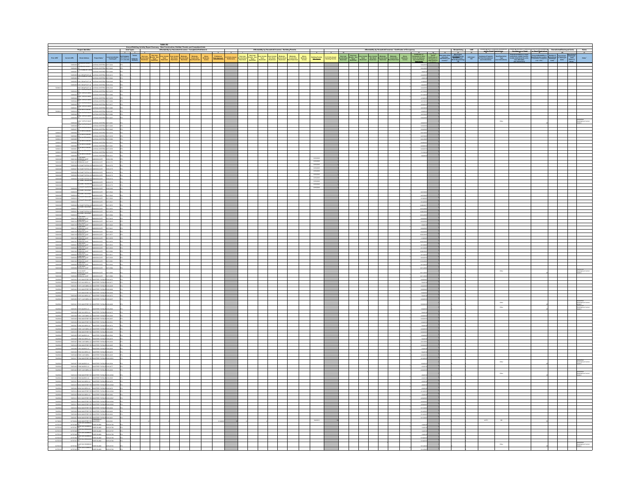|                           |                      | <b>Project Identifier</b>                                                                                                                                                                                                                                                                                                                   |                                                           |  | Table A2 |                          |   | Affordability by Household Incomes - Building Permits |                                       |                        |                                                                                                                                                                                                                                                                                                                                                                                                                              |                                                                          |  |  |                  |                   |  |                                                                 |  |  |
|---------------------------|----------------------|---------------------------------------------------------------------------------------------------------------------------------------------------------------------------------------------------------------------------------------------------------------------------------------------------------------------------------------------|-----------------------------------------------------------|--|----------|--------------------------|---|-------------------------------------------------------|---------------------------------------|------------------------|------------------------------------------------------------------------------------------------------------------------------------------------------------------------------------------------------------------------------------------------------------------------------------------------------------------------------------------------------------------------------------------------------------------------------|--------------------------------------------------------------------------|--|--|------------------|-------------------|--|-----------------------------------------------------------------|--|--|
|                           |                      |                                                                                                                                                                                                                                                                                                                                             |                                                           |  |          | $\overline{\phantom{a}}$ | ᆂ |                                                       |                                       |                        |                                                                                                                                                                                                                                                                                                                                                                                                                              |                                                                          |  |  | <b>FERFELLER</b> |                   |  | d Desarrange<br>a<br>dd - Daed Respission<br>- Gee Instructions |  |  |
|                           |                      |                                                                                                                                                                                                                                                                                                                                             |                                                           |  |          |                          |   |                                                       | Moderato<br>Income Dead<br>Restricted | Moderate<br>Income Non | $\begin{array}{c} \textbf{A} \textbf{A} \textbf{A} \textbf{A} \textbf{B} \\ \textbf{B} \textbf{A} \textbf{A} \textbf{B} \textbf{A} \textbf{B} \textbf{A} \textbf{B} \textbf{A} \textbf{B} \textbf{A} \textbf{B} \textbf{A} \textbf{B} \textbf{A} \textbf{B} \textbf{A} \textbf{A} \textbf{A} \textbf{A} \textbf{A} \textbf{A} \textbf{A} \textbf{A} \textbf{A} \textbf{A} \textbf{A} \textbf{A} \textbf{A} \textbf{A} \text$ |                                                                          |  |  |                  |                   |  |                                                                 |  |  |
|                           |                      | <b>MATANA WATERIA 2017-0244</b><br><b>BLACK HAWK</b>                                                                                                                                                                                                                                                                                        |                                                           |  |          |                          |   |                                                       |                                       |                        |                                                                                                                                                                                                                                                                                                                                                                                                                              |                                                                          |  |  |                  |                   |  |                                                                 |  |  |
|                           | 72856067             | ARROW CROW MATERIAL 2017 0009                                                                                                                                                                                                                                                                                                               |                                                           |  |          |                          |   |                                                       |                                       |                        |                                                                                                                                                                                                                                                                                                                                                                                                                              |                                                                          |  |  |                  |                   |  |                                                                 |  |  |
|                           |                      | 72856060 1564 CROWFOOT LN LANTANA WISTERA 2016-0213                                                                                                                                                                                                                                                                                         |                                                           |  |          |                          |   |                                                       |                                       |                        |                                                                                                                                                                                                                                                                                                                                                                                                                              |                                                                          |  |  |                  |                   |  |                                                                 |  |  |
|                           | 7205000<br>728500    | A CROWFOOT LN LANTANA WISTERS 2016-0228                                                                                                                                                                                                                                                                                                     | SANTANA WISTERIA 2017-0042                                |  |          |                          |   |                                                       |                                       |                        |                                                                                                                                                                                                                                                                                                                                                                                                                              |                                                                          |  |  |                  | enger             |  |                                                                 |  |  |
|                           |                      | 7289609 1355 CROWFOOT UN CANTANA WISTERN 2016-0220                                                                                                                                                                                                                                                                                          |                                                           |  |          |                          |   |                                                       |                                       |                        |                                                                                                                                                                                                                                                                                                                                                                                                                              |                                                                          |  |  |                  | 5242              |  |                                                                 |  |  |
|                           |                      |                                                                                                                                                                                                                                                                                                                                             |                                                           |  |          |                          |   |                                                       |                                       |                        |                                                                                                                                                                                                                                                                                                                                                                                                                              |                                                                          |  |  |                  |                   |  |                                                                 |  |  |
|                           | <b>There</b>         |                                                                                                                                                                                                                                                                                                                                             |                                                           |  |          |                          |   |                                                       |                                       |                        |                                                                                                                                                                                                                                                                                                                                                                                                                              |                                                                          |  |  |                  |                   |  |                                                                 |  |  |
|                           | 72050042             | 2003 3 JTMH                                                                                                                                                                                                                                                                                                                                 | LANTANA WISTERIA 2017-0086 2FD                            |  |          |                          |   |                                                       |                                       |                        |                                                                                                                                                                                                                                                                                                                                                                                                                              |                                                                          |  |  |                  | 32720             |  |                                                                 |  |  |
|                           | 7285651 D            | TED THE ARRITERY AMATHAL                                                                                                                                                                                                                                                                                                                    |                                                           |  |          |                          |   |                                                       |                                       |                        |                                                                                                                                                                                                                                                                                                                                                                                                                              |                                                                          |  |  |                  | 32720             |  |                                                                 |  |  |
|                           | <b>Tassett</b>       |                                                                                                                                                                                                                                                                                                                                             |                                                           |  |          |                          |   |                                                       |                                       |                        |                                                                                                                                                                                                                                                                                                                                                                                                                              |                                                                          |  |  |                  |                   |  |                                                                 |  |  |
|                           |                      |                                                                                                                                                                                                                                                                                                                                             |                                                           |  |          |                          |   |                                                       |                                       |                        |                                                                                                                                                                                                                                                                                                                                                                                                                              |                                                                          |  |  |                  |                   |  |                                                                 |  |  |
|                           | rassori              | ANTANA WISTERIA<br>ues os                                                                                                                                                                                                                                                                                                                   | rapp find                                                 |  |          |                          |   |                                                       |                                       |                        |                                                                                                                                                                                                                                                                                                                                                                                                                              |                                                                          |  |  |                  | 4265              |  |                                                                 |  |  |
|                           | THEFT                | 7265609 DR<br>The Lutre Lutre (Michael School)<br>1980 - The Lutre Michael McCall (Michael School)<br>1980 - The Lutre Michael McCall (Michael School)<br>1980 - Well McCall (Michael McCall School)<br>1980 - Well McCall (Michael McCall School)<br>                                                                                      |                                                           |  |          |                          |   |                                                       |                                       |                        |                                                                                                                                                                                                                                                                                                                                                                                                                              |                                                                          |  |  |                  | sosons            |  |                                                                 |  |  |
|                           | 720900               |                                                                                                                                                                                                                                                                                                                                             |                                                           |  |          |                          |   |                                                       |                                       |                        |                                                                                                                                                                                                                                                                                                                                                                                                                              |                                                                          |  |  |                  | son<br>\$2120     |  |                                                                 |  |  |
|                           | 7285005              |                                                                                                                                                                                                                                                                                                                                             |                                                           |  |          |                          |   |                                                       |                                       |                        |                                                                                                                                                                                                                                                                                                                                                                                                                              |                                                                          |  |  |                  | 421201            |  |                                                                 |  |  |
|                           | 72030042             | <b>JE WHITE MOON</b><br>TED TOP ARTERN WATHA<br><b>HTS MOVE</b>                                                                                                                                                                                                                                                                             |                                                           |  |          |                          |   |                                                       |                                       |                        |                                                                                                                                                                                                                                                                                                                                                                                                                              |                                                                          |  |  |                  |                   |  |                                                                 |  |  |
| 72858013<br>zasana        |                      | $\begin{tabular}{l c c c} \hline \textbf{P20000015} & \textbf{0.00001} & \textbf{0.00001} & \textbf{0.00001} & \textbf{0.00001} & \textbf{0.00001} & \textbf{0.00001} & \textbf{0.00001} & \textbf{0.00001} & \textbf{0.00001} & \textbf{0.00001} & \textbf{0.00001} & \textbf{0.00001} & \textbf{0.00001} & \textbf{0.00001} & \textbf{0.$ |                                                           |  |          |                          |   |                                                       |                                       |                        |                                                                                                                                                                                                                                                                                                                                                                                                                              |                                                                          |  |  |                  | 42520<br>essare   |  |                                                                 |  |  |
| 7205001                   |                      |                                                                                                                                                                                                                                                                                                                                             |                                                           |  |          |                          |   |                                                       |                                       |                        |                                                                                                                                                                                                                                                                                                                                                                                                                              |                                                                          |  |  |                  |                   |  |                                                                 |  |  |
| Passages                  |                      |                                                                                                                                                                                                                                                                                                                                             |                                                           |  |          |                          |   |                                                       |                                       |                        |                                                                                                                                                                                                                                                                                                                                                                                                                              | 6/19/2018                                                                |  |  |                  |                   |  |                                                                 |  |  |
| 7200100                   | racro                | Loce<br>SON GATE                                                                                                                                                                                                                                                                                                                            | <b>OTA-BASE</b>                                           |  |          |                          |   |                                                       |                                       |                        |                                                                                                                                                                                                                                                                                                                                                                                                                              | 6192018                                                                  |  |  |                  |                   |  |                                                                 |  |  |
| 72007008                  |                      |                                                                                                                                                                                                                                                                                                                                             |                                                           |  |          |                          |   |                                                       |                                       |                        |                                                                                                                                                                                                                                                                                                                                                                                                                              | $\begin{array}{r} 4782018 \\\hline 6782018 \\\hline 6782018 \end{array}$ |  |  |                  |                   |  |                                                                 |  |  |
|                           |                      | 72656024 826 SAINT RUFINA DEMANDSON GATE 2016-0174                                                                                                                                                                                                                                                                                          |                                                           |  |          |                          |   |                                                       |                                       |                        |                                                                                                                                                                                                                                                                                                                                                                                                                              |                                                                          |  |  |                  |                   |  |                                                                 |  |  |
|                           |                      | 7265603 830 SAINT RUPINA LA MARISCHI GATE 2016-0173<br>72656024 836 SAINT RUE BALLIN MADISON GATE 2018-0172                                                                                                                                                                                                                                 |                                                           |  |          |                          |   |                                                       |                                       |                        |                                                                                                                                                                                                                                                                                                                                                                                                                              | 6792018<br>6792018                                                       |  |  |                  |                   |  |                                                                 |  |  |
| Paintings                 |                      | <b>80 SANT VALENTIS</b><br>105 SANT VALENTIS<br>105 SANT VALENTIS<br>18                                                                                                                                                                                                                                                                     |                                                           |  |          |                          |   |                                                       |                                       |                        |                                                                                                                                                                                                                                                                                                                                                                                                                              | 6/192018<br>6/192018                                                     |  |  |                  |                   |  |                                                                 |  |  |
|                           |                      | <b>UN</b><br>ROB SAINT VALENTING<br><b>OSCN GATE 2018-0100</b>                                                                                                                                                                                                                                                                              |                                                           |  |          |                          |   |                                                       |                                       |                        |                                                                                                                                                                                                                                                                                                                                                                                                                              | 6/19/2018                                                                |  |  |                  |                   |  |                                                                 |  |  |
|                           |                      |                                                                                                                                                                                                                                                                                                                                             |                                                           |  |          |                          |   |                                                       |                                       |                        |                                                                                                                                                                                                                                                                                                                                                                                                                              |                                                                          |  |  |                  | 827201            |  |                                                                 |  |  |
|                           |                      |                                                                                                                                                                                                                                                                                                                                             |                                                           |  |          |                          |   |                                                       |                                       |                        |                                                                                                                                                                                                                                                                                                                                                                                                                              |                                                                          |  |  |                  | 91820             |  |                                                                 |  |  |
|                           |                      |                                                                                                                                                                                                                                                                                                                                             |                                                           |  |          |                          |   |                                                       |                                       |                        |                                                                                                                                                                                                                                                                                                                                                                                                                              |                                                                          |  |  |                  | 814201<br>1228201 |  |                                                                 |  |  |
|                           |                      |                                                                                                                                                                                                                                                                                                                                             |                                                           |  |          |                          |   |                                                       |                                       |                        |                                                                                                                                                                                                                                                                                                                                                                                                                              |                                                                          |  |  |                  | 1212001           |  |                                                                 |  |  |
|                           |                      |                                                                                                                                                                                                                                                                                                                                             |                                                           |  |          |                          |   |                                                       |                                       |                        |                                                                                                                                                                                                                                                                                                                                                                                                                              |                                                                          |  |  |                  | 12122             |  |                                                                 |  |  |
|                           |                      |                                                                                                                                                                                                                                                                                                                                             |                                                           |  |          |                          |   |                                                       |                                       |                        |                                                                                                                                                                                                                                                                                                                                                                                                                              |                                                                          |  |  |                  |                   |  |                                                                 |  |  |
|                           |                      |                                                                                                                                                                                                                                                                                                                                             |                                                           |  |          |                          |   |                                                       |                                       |                        |                                                                                                                                                                                                                                                                                                                                                                                                                              |                                                                          |  |  |                  | 42220<br>away     |  |                                                                 |  |  |
|                           |                      |                                                                                                                                                                                                                                                                                                                                             |                                                           |  |          |                          |   |                                                       |                                       |                        |                                                                                                                                                                                                                                                                                                                                                                                                                              |                                                                          |  |  |                  | 42220             |  |                                                                 |  |  |
|                           |                      |                                                                                                                                                                                                                                                                                                                                             |                                                           |  |          |                          |   |                                                       |                                       |                        |                                                                                                                                                                                                                                                                                                                                                                                                                              |                                                                          |  |  |                  | 6222019<br>102320 |  |                                                                 |  |  |
|                           |                      |                                                                                                                                                                                                                                                                                                                                             |                                                           |  |          |                          |   |                                                       |                                       |                        |                                                                                                                                                                                                                                                                                                                                                                                                                              |                                                                          |  |  |                  | $-1992$           |  |                                                                 |  |  |
|                           |                      |                                                                                                                                                                                                                                                                                                                                             |                                                           |  |          |                          |   |                                                       |                                       |                        |                                                                                                                                                                                                                                                                                                                                                                                                                              |                                                                          |  |  |                  | $-112$            |  |                                                                 |  |  |
|                           |                      |                                                                                                                                                                                                                                                                                                                                             |                                                           |  |          |                          |   |                                                       |                                       |                        |                                                                                                                                                                                                                                                                                                                                                                                                                              |                                                                          |  |  |                  | 813201            |  |                                                                 |  |  |
|                           |                      |                                                                                                                                                                                                                                                                                                                                             |                                                           |  |          |                          |   |                                                       |                                       |                        |                                                                                                                                                                                                                                                                                                                                                                                                                              |                                                                          |  |  |                  | 1026201<br>813201 |  |                                                                 |  |  |
|                           |                      |                                                                                                                                                                                                                                                                                                                                             |                                                           |  |          |                          |   |                                                       |                                       |                        |                                                                                                                                                                                                                                                                                                                                                                                                                              |                                                                          |  |  |                  | 82320<br>1112001  |  |                                                                 |  |  |
|                           |                      |                                                                                                                                                                                                                                                                                                                                             |                                                           |  |          |                          |   |                                                       |                                       |                        |                                                                                                                                                                                                                                                                                                                                                                                                                              |                                                                          |  |  |                  | 8132              |  |                                                                 |  |  |
|                           |                      |                                                                                                                                                                                                                                                                                                                                             |                                                           |  |          |                          |   |                                                       |                                       |                        |                                                                                                                                                                                                                                                                                                                                                                                                                              |                                                                          |  |  |                  | 121100            |  |                                                                 |  |  |
|                           |                      | 17110 SAINT<br>BRENDAN LOOP<br>17116 SAINT<br>MOSCN GATE                                                                                                                                                                                                                                                                                    |                                                           |  |          |                          |   |                                                       |                                       |                        |                                                                                                                                                                                                                                                                                                                                                                                                                              |                                                                          |  |  |                  | 1211/201          |  |                                                                 |  |  |
| 22621006                  |                      | 17555008 STATA ANTI (MADSON GATE 2017-0666<br>75655021 17479 MONTENEY SO MONTENEY PAROLE SPIN-ANTI<br>7565501 17572 WAVARRALIN, INDIATEREY PAROLE SPIN-ART                                                                                                                                                                                  |                                                           |  |          |                          |   |                                                       |                                       |                        |                                                                                                                                                                                                                                                                                                                                                                                                                              |                                                                          |  |  |                  |                   |  |                                                                 |  |  |
| 729350<br>7203004         |                      | T2052051 17972 CANTAGRA LN MONTEREY PAROLE 2016-0416                                                                                                                                                                                                                                                                                        |                                                           |  |          |                          |   |                                                       |                                       |                        |                                                                                                                                                                                                                                                                                                                                                                                                                              |                                                                          |  |  |                  | $-942$            |  |                                                                 |  |  |
| 72625004<br>72825004      |                      | 72653022 17974 MONTEREY RD MONTEREY PAROUN 2016 0609<br>17975 MONTEREY RD MCNTEREY PARQUEZON-0499                                                                                                                                                                                                                                           |                                                           |  |          |                          |   |                                                       |                                       |                        |                                                                                                                                                                                                                                                                                                                                                                                                                              |                                                                          |  |  |                  | \$2500<br>100201  |  |                                                                 |  |  |
| 72625004                  |                      | 7265003 1909 NAVASALN NONTEREY PAROLE 2016 0672                                                                                                                                                                                                                                                                                             |                                                           |  |          |                          |   |                                                       |                                       |                        |                                                                                                                                                                                                                                                                                                                                                                                                                              |                                                                          |  |  |                  | 5420              |  |                                                                 |  |  |
| 72925004                  |                      | 72052050 17977 CANTAGRALIN MONTEREY PARCUS 2016-0497                                                                                                                                                                                                                                                                                        |                                                           |  |          |                          |   |                                                       |                                       |                        |                                                                                                                                                                                                                                                                                                                                                                                                                              |                                                                          |  |  |                  | 320201            |  | $_{\rm OBe}$                                                    |  |  |
|                           |                      | 7265021 17978 MONTEREY RD MONTEREY PARCUS 2016-0468                                                                                                                                                                                                                                                                                         | $rac{1}{2}$                                               |  |          |                          |   |                                                       |                                       |                        |                                                                                                                                                                                                                                                                                                                                                                                                                              |                                                                          |  |  |                  |                   |  | Other                                                           |  |  |
|                           | <b>Takes</b>         | <b>KI GIRDAN</b><br>TEREY PAROLES                                                                                                                                                                                                                                                                                                           |                                                           |  |          |                          |   |                                                       |                                       |                        |                                                                                                                                                                                                                                                                                                                                                                                                                              |                                                                          |  |  |                  |                   |  |                                                                 |  |  |
| <b>Passage</b>            |                      |                                                                                                                                                                                                                                                                                                                                             |                                                           |  |          |                          |   |                                                       |                                       |                        |                                                                                                                                                                                                                                                                                                                                                                                                                              |                                                                          |  |  |                  |                   |  |                                                                 |  |  |
| <b>PSIGSODE</b>           |                      | 7263020 1762 MONTEREY RD MONTEREY PARCEL 2016 0667<br>7265054 17963 MONTEREY RD MONTEREY PARQUE 2016-0601                                                                                                                                                                                                                                   |                                                           |  |          |                          |   |                                                       |                                       |                        |                                                                                                                                                                                                                                                                                                                                                                                                                              |                                                                          |  |  |                  | \$252<br>130201   |  |                                                                 |  |  |
|                           |                      | 7261027 1766 NAVASALN MONTESCY PARCE 2016 6676<br>72652048 17985 CANTABRALIN MONTEREY PARQUE 2016-0495                                                                                                                                                                                                                                      |                                                           |  |          |                          |   |                                                       |                                       |                        |                                                                                                                                                                                                                                                                                                                                                                                                                              |                                                                          |  |  |                  | \$420<br>320201   |  |                                                                 |  |  |
|                           |                      | 72452519 1798 MONTEREY RD MONTEREY PARCES 2016-0686<br>72452656 17987 MADRID LN                                                                                                                                                                                                                                                             |                                                           |  |          |                          |   |                                                       |                                       |                        |                                                                                                                                                                                                                                                                                                                                                                                                                              |                                                                          |  |  |                  |                   |  |                                                                 |  |  |
|                           |                      |                                                                                                                                                                                                                                                                                                                                             | me esee                                                   |  |          |                          |   |                                                       |                                       |                        |                                                                                                                                                                                                                                                                                                                                                                                                                              |                                                                          |  |  |                  | 12022<br>9420     |  |                                                                 |  |  |
|                           |                      | 7365000 TRAIN RAVAIRA LA ENGANTAGO PARQUE DOS GATS<br>736500 TRAIN CANTABRA LA ENGANTAGO PARQUE DOS GAS                                                                                                                                                                                                                                     |                                                           |  |          |                          |   |                                                       |                                       |                        |                                                                                                                                                                                                                                                                                                                                                                                                                              |                                                                          |  |  |                  | $-2215$           |  |                                                                 |  |  |
| 72825004                  |                      | 7265056 1799 MAROLN MONTERSY PARCES 2016 0503                                                                                                                                                                                                                                                                                               |                                                           |  |          |                          |   |                                                       |                                       |                        |                                                                                                                                                                                                                                                                                                                                                                                                                              |                                                                          |  |  |                  | sasan             |  |                                                                 |  |  |
| 72825004                  |                      | 72653028 17992 NAUARALM MONTEREY PARQUE2016-0476                                                                                                                                                                                                                                                                                            |                                                           |  |          |                          |   |                                                       |                                       |                        |                                                                                                                                                                                                                                                                                                                                                                                                                              |                                                                          |  |  |                  | 9420              |  |                                                                 |  |  |
|                           |                      | 7263206 1793 CASTABAN MONTERCY PARCE 2016 0003<br>72652017 17056 MONTEREY RD MONTEREY PARQUE 2016-00531                                                                                                                                                                                                                                     |                                                           |  |          |                          |   |                                                       |                                       |                        |                                                                                                                                                                                                                                                                                                                                                                                                                              |                                                                          |  |  |                  |                   |  |                                                                 |  |  |
|                           | $_{\text{max}}$      | <b>IN ANCHOUN</b>                                                                                                                                                                                                                                                                                                                           |                                                           |  |          |                          |   |                                                       |                                       |                        |                                                                                                                                                                                                                                                                                                                                                                                                                              |                                                                          |  |  |                  |                   |  |                                                                 |  |  |
|                           |                      | 7265200 17996 MADRID LN MONTEREY PAROLE 2016-0477<br>7265065 17997 CANTABRALIN MONTEREY PARCES 2016 0452                                                                                                                                                                                                                                    |                                                           |  |          |                          |   |                                                       |                                       |                        |                                                                                                                                                                                                                                                                                                                                                                                                                              |                                                                          |  |  |                  |                   |  |                                                                 |  |  |
|                           |                      | 72652016 17998 MONTEREY RD MO<br><b>KTEREY PARQUE</b>                                                                                                                                                                                                                                                                                       | oczos and                                                 |  |          |                          |   |                                                       |                                       |                        |                                                                                                                                                                                                                                                                                                                                                                                                                              |                                                                          |  |  |                  |                   |  |                                                                 |  |  |
|                           |                      | 7263058 1799 MAROLN MONTERSY PARCES 2016 0505                                                                                                                                                                                                                                                                                               |                                                           |  |          |                          |   |                                                       |                                       |                        |                                                                                                                                                                                                                                                                                                                                                                                                                              |                                                                          |  |  |                  |                   |  |                                                                 |  |  |
|                           |                      | 72652031 16000 NAVARRALIN MICRITEREY PARQUE 2016-0478                                                                                                                                                                                                                                                                                       |                                                           |  |          |                          |   |                                                       |                                       |                        |                                                                                                                                                                                                                                                                                                                                                                                                                              |                                                                          |  |  |                  | 43201             |  |                                                                 |  |  |
|                           |                      | 73652415 18002 MONTEREY RD MONTEREY PARCEL 2016-00236<br>73652432 18004 MAUARRALIN - MICHIERSEY PARCEL 2016-0476                                                                                                                                                                                                                            |                                                           |  |          |                          |   |                                                       |                                       |                        |                                                                                                                                                                                                                                                                                                                                                                                                                              |                                                                          |  |  |                  | 4320              |  |                                                                 |  |  |
|                           |                      | 72652014 19000 MONTEREY RD MONTEREY PARCUS 2016-00528                                                                                                                                                                                                                                                                                       |                                                           |  |          |                          |   |                                                       |                                       |                        |                                                                                                                                                                                                                                                                                                                                                                                                                              |                                                                          |  |  |                  |                   |  |                                                                 |  |  |
|                           | rasse                | <b>SON VERSITERS VIEW</b><br><b>CEREY PAROLE</b>                                                                                                                                                                                                                                                                                            | $-0.00027$                                                |  |          |                          |   |                                                       |                                       |                        |                                                                                                                                                                                                                                                                                                                                                                                                                              |                                                                          |  |  |                  |                   |  |                                                                 |  |  |
|                           |                      | 7265073 18014 MONTEREY RD MONTEREY PARCUR 2016 00526<br>72652011 18018 MONTEREY RD MONTEREY PARCEN 2016-00225                                                                                                                                                                                                                               |                                                           |  |          |                          |   |                                                       |                                       |                        |                                                                                                                                                                                                                                                                                                                                                                                                                              |                                                                          |  |  |                  | 43020             |  |                                                                 |  |  |
|                           |                      | 72652010 16024 MONTEREY RD MONTEREY PAROLE 2016-0464                                                                                                                                                                                                                                                                                        |                                                           |  |          |                          |   |                                                       |                                       |                        |                                                                                                                                                                                                                                                                                                                                                                                                                              |                                                                          |  |  |                  |                   |  |                                                                 |  |  |
|                           |                      | 72653009 18028 MONTEREY RD MONTEREY PARQUE2016-0663<br>72653008 18032 MONTEREY RD MONTEREY PARCUR 2016-0662                                                                                                                                                                                                                                 |                                                           |  |          |                          |   |                                                       |                                       |                        |                                                                                                                                                                                                                                                                                                                                                                                                                              |                                                                          |  |  |                  | 91220<br>\$12.20  |  |                                                                 |  |  |
|                           | erne                 | MONTEREY PA                                                                                                                                                                                                                                                                                                                                 | POLE ROBOTE                                               |  |          |                          |   |                                                       |                                       |                        |                                                                                                                                                                                                                                                                                                                                                                                                                              |                                                                          |  |  |                  |                   |  |                                                                 |  |  |
|                           |                      | 1000 MONTEREY RD<br><b>The Seconds</b>                                                                                                                                                                                                                                                                                                      |                                                           |  |          |                          |   |                                                       |                                       |                        |                                                                                                                                                                                                                                                                                                                                                                                                                              |                                                                          |  |  |                  |                   |  |                                                                 |  |  |
|                           | arrarear c<br>arrena |                                                                                                                                                                                                                                                                                                                                             | activities designed                                       |  |          |                          |   |                                                       |                                       |                        |                                                                                                                                                                                                                                                                                                                                                                                                                              |                                                                          |  |  |                  |                   |  |                                                                 |  |  |
|                           | astronomi            | 5 SAN DOMING                                                                                                                                                                                                                                                                                                                                | o<br>  ROSESLAND 2015-0137<br> -<br>  ROSESLAND 2015-0138 |  |          |                          |   |                                                       |                                       |                        |                                                                                                                                                                                                                                                                                                                                                                                                                              |                                                                          |  |  |                  | 1999              |  |                                                                 |  |  |
| <b>ATTENDED</b><br>417670 | errange<br>strate    | anus anno                                                                                                                                                                                                                                                                                                                                   | ROSE SLAND DESIGNER<br>offening                           |  |          |                          |   |                                                       |                                       |                        |                                                                                                                                                                                                                                                                                                                                                                                                                              |                                                                          |  |  |                  | system<br>\$1820  |  |                                                                 |  |  |
| enters<br>enters          |                      |                                                                                                                                                                                                                                                                                                                                             |                                                           |  |          |                          |   |                                                       |                                       |                        |                                                                                                                                                                                                                                                                                                                                                                                                                              |                                                                          |  |  |                  | \$1120            |  |                                                                 |  |  |
|                           |                      |                                                                                                                                                                                                                                                                                                                                             |                                                           |  |          |                          |   |                                                       |                                       |                        |                                                                                                                                                                                                                                                                                                                                                                                                                              |                                                                          |  |  |                  | 91120             |  |                                                                 |  |  |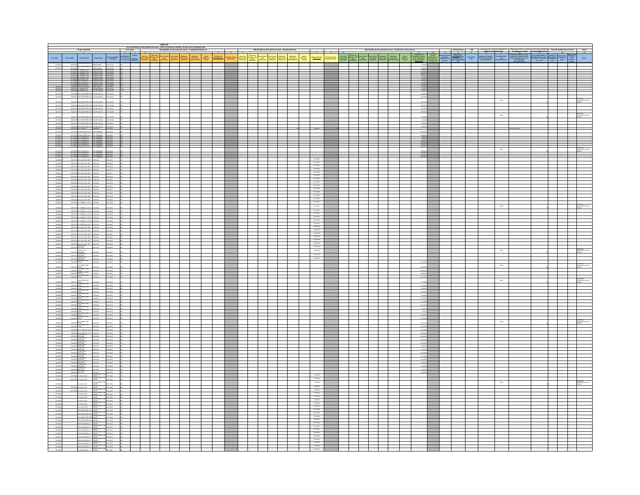|                                  |                         | .<br>Stoot Address                                                                                                                                                                                                                                                                                                                                                                  |                                                                                                                                                                                                                                                                                                                                                                                                                                    |  |  |  |  |  |  |                                                   |  |  |                   |  |                  |  | $\frac{1}{\text{max}^2}$ |
|----------------------------------|-------------------------|-------------------------------------------------------------------------------------------------------------------------------------------------------------------------------------------------------------------------------------------------------------------------------------------------------------------------------------------------------------------------------------|------------------------------------------------------------------------------------------------------------------------------------------------------------------------------------------------------------------------------------------------------------------------------------------------------------------------------------------------------------------------------------------------------------------------------------|--|--|--|--|--|--|---------------------------------------------------|--|--|-------------------|--|------------------|--|--------------------------|
|                                  |                         |                                                                                                                                                                                                                                                                                                                                                                                     |                                                                                                                                                                                                                                                                                                                                                                                                                                    |  |  |  |  |  |  |                                                   |  |  |                   |  |                  |  |                          |
|                                  |                         | THESE SAN GARRISE<br>16 CT - GO IS ISLAND<br>15 SENNANT AVE - SHADON PINES<br>11 IS TENNANT AVE - SHADON PINES                                                                                                                                                                                                                                                                      |                                                                                                                                                                                                                                                                                                                                                                                                                                    |  |  |  |  |  |  |                                                   |  |  |                   |  |                  |  |                          |
|                                  |                         |                                                                                                                                                                                                                                                                                                                                                                                     |                                                                                                                                                                                                                                                                                                                                                                                                                                    |  |  |  |  |  |  |                                                   |  |  |                   |  |                  |  |                          |
|                                  |                         |                                                                                                                                                                                                                                                                                                                                                                                     |                                                                                                                                                                                                                                                                                                                                                                                                                                    |  |  |  |  |  |  |                                                   |  |  |                   |  |                  |  |                          |
|                                  |                         |                                                                                                                                                                                                                                                                                                                                                                                     |                                                                                                                                                                                                                                                                                                                                                                                                                                    |  |  |  |  |  |  |                                                   |  |  |                   |  |                  |  |                          |
| N411003                          |                         |                                                                                                                                                                                                                                                                                                                                                                                     |                                                                                                                                                                                                                                                                                                                                                                                                                                    |  |  |  |  |  |  |                                                   |  |  | 326201            |  |                  |  |                          |
| N411003                          |                         |                                                                                                                                                                                                                                                                                                                                                                                     |                                                                                                                                                                                                                                                                                                                                                                                                                                    |  |  |  |  |  |  |                                                   |  |  | 3232              |  |                  |  |                          |
|                                  |                         | <b>BORD MONTEREY FOR</b>                                                                                                                                                                                                                                                                                                                                                            | .<br>Cike baserio                                                                                                                                                                                                                                                                                                                                                                                                                  |  |  |  |  |  |  |                                                   |  |  |                   |  | 00w              |  |                          |
| <b>76411003</b><br>76411003      |                         |                                                                                                                                                                                                                                                                                                                                                                                     | T666093 18089 MONTEREY RD SOLERA RANCH 2015-02226<br>T6664094 10065 MONTEREY RD SCLERA RANCH 2015-02227 265A                                                                                                                                                                                                                                                                                                                       |  |  |  |  |  |  |                                                   |  |  |                   |  |                  |  |                          |
|                                  |                         |                                                                                                                                                                                                                                                                                                                                                                                     | TERRITA SITE MONTEREY RD BOLERA RANCH 2015-0222                                                                                                                                                                                                                                                                                                                                                                                    |  |  |  |  |  |  |                                                   |  |  |                   |  |                  |  |                          |
| 76411003                         |                         | Inter MONTEREY RD                                                                                                                                                                                                                                                                                                                                                                   | <b>ERA RANCH</b><br>case -                                                                                                                                                                                                                                                                                                                                                                                                         |  |  |  |  |  |  |                                                   |  |  |                   |  | $0$ ther         |  |                          |
| 76411003                         |                         |                                                                                                                                                                                                                                                                                                                                                                                     |                                                                                                                                                                                                                                                                                                                                                                                                                                    |  |  |  |  |  |  |                                                   |  |  |                   |  |                  |  |                          |
| 76411003                         |                         |                                                                                                                                                                                                                                                                                                                                                                                     |                                                                                                                                                                                                                                                                                                                                                                                                                                    |  |  |  |  |  |  |                                                   |  |  |                   |  |                  |  |                          |
| 11701001<br>11701001<br>11701001 |                         |                                                                                                                                                                                                                                                                                                                                                                                     |                                                                                                                                                                                                                                                                                                                                                                                                                                    |  |  |  |  |  |  |                                                   |  |  | <b>ASSISTENCE</b> |  |                  |  |                          |
|                                  |                         |                                                                                                                                                                                                                                                                                                                                                                                     |                                                                                                                                                                                                                                                                                                                                                                                                                                    |  |  |  |  |  |  |                                                   |  |  |                   |  |                  |  |                          |
|                                  |                         |                                                                                                                                                                                                                                                                                                                                                                                     |                                                                                                                                                                                                                                                                                                                                                                                                                                    |  |  |  |  |  |  |                                                   |  |  |                   |  |                  |  |                          |
|                                  |                         |                                                                                                                                                                                                                                                                                                                                                                                     | $\begin{tabular}{c c c c c} \hline $17390933721 & $20449111 & $106 & $058949508 & $20444403 & $404444 & $4044444 & $106 & $058949508 & $20444403 & $404444 & $4044444 & $4044444 & $4044444 & $4044444 & $4044444 & $4044444 & $4044444 & $4044444 & $4044444 & $4044444 & $4044444 & $4$                                                                                                                                          |  |  |  |  |  |  |                                                   |  |  |                   |  | $_{\text{OBeV}}$ |  |                          |
|                                  |                         |                                                                                                                                                                                                                                                                                                                                                                                     |                                                                                                                                                                                                                                                                                                                                                                                                                                    |  |  |  |  |  |  |                                                   |  |  |                   |  |                  |  |                          |
|                                  |                         | PARTY 2 235 CALLE DEL REY VA                                                                                                                                                                                                                                                                                                                                                        | 72657013 225 CALLS DEL REY VALENCIA 2010 0081                                                                                                                                                                                                                                                                                                                                                                                      |  |  |  |  |  |  | \$11201<br>8112018                                |  |  |                   |  |                  |  |                          |
|                                  |                         | CALLE DEL REY                                                                                                                                                                                                                                                                                                                                                                       | DOM:<br>etap anti                                                                                                                                                                                                                                                                                                                                                                                                                  |  |  |  |  |  |  | 8/152018<br>8/152018                              |  |  |                   |  |                  |  |                          |
|                                  |                         | 72657009 265 CALLE DEL REY VALENCIA                                                                                                                                                                                                                                                                                                                                                 | 7267010265 CALLS DEL REY MALENCIA 2018-0478 BFA<br>stracery.                                                                                                                                                                                                                                                                                                                                                                       |  |  |  |  |  |  | 6/112018                                          |  |  |                   |  |                  |  |                          |
| 72525094                         |                         |                                                                                                                                                                                                                                                                                                                                                                                     | 72670082% CALLEDGLARY MALENCA 2018-04% 24A                                                                                                                                                                                                                                                                                                                                                                                         |  |  |  |  |  |  | 8/10018<br>6/110018                               |  |  |                   |  |                  |  |                          |
|                                  |                         | 7267007285 OLLE DEL REY MALENCA<br>72657006 265 CALLS DEL REY VALENCIA                                                                                                                                                                                                                                                                                                              | property<br>poss parts                                                                                                                                                                                                                                                                                                                                                                                                             |  |  |  |  |  |  | $\begin{array}{r} 6712018 \\ 6712018 \end{array}$ |  |  |                   |  |                  |  |                          |
|                                  | rasro                   | <b>DIS CALLE DEL REY </b><br>15 CALLS DEL BEY 10                                                                                                                                                                                                                                                                                                                                    | LENCH.<br>cracers                                                                                                                                                                                                                                                                                                                                                                                                                  |  |  |  |  |  |  |                                                   |  |  |                   |  |                  |  |                          |
|                                  |                         | TORTOOT DIS CALLE DEL REY TALENCIA                                                                                                                                                                                                                                                                                                                                                  | manager                                                                                                                                                                                                                                                                                                                                                                                                                            |  |  |  |  |  |  | 8/152018<br>8/152018<br>6110018                   |  |  |                   |  |                  |  |                          |
|                                  |                         | 02115 CALLE DEL SEY 10                                                                                                                                                                                                                                                                                                                                                              | craces:<br>HOM<br>72657001345 CALLE DEL REY VALENCIA 2018-0409 SFA                                                                                                                                                                                                                                                                                                                                                                 |  |  |  |  |  |  | 6112018                                           |  |  |                   |  |                  |  |                          |
|                                  |                         | 726700 St VERDALARIZ VALDICA                                                                                                                                                                                                                                                                                                                                                        | araces                                                                                                                                                                                                                                                                                                                                                                                                                             |  |  |  |  |  |  | serogona<br>8110018                               |  |  |                   |  |                  |  |                          |
|                                  |                         | <b><i>VEREIN</i></b> LA PA<br>011050241A9A                                                                                                                                                                                                                                                                                                                                          |                                                                                                                                                                                                                                                                                                                                                                                                                                    |  |  |  |  |  |  | 6110019                                           |  |  |                   |  |                  |  |                          |
|                                  |                         |                                                                                                                                                                                                                                                                                                                                                                                     | 7265707161VEREDALA PAZ VALENCIA 2016 005 3EA                                                                                                                                                                                                                                                                                                                                                                                       |  |  |  |  |  |  | 6112018<br>6110018                                |  |  |                   |  |                  |  |                          |
|                                  |                         | TARTER DE VERDALA PAZ ANEROJA<br>72657015-211 VEREDA LA PAZ VALENCIA                                                                                                                                                                                                                                                                                                                | <b>Britishers</b>                                                                                                                                                                                                                                                                                                                                                                                                                  |  |  |  |  |  |  |                                                   |  |  |                   |  |                  |  |                          |
|                                  |                         | TARTEN DE VERDA LA PAZ MAJDICIA<br>72657031230 CALLS DEL REY VALENCIA                                                                                                                                                                                                                                                                                                               | 2018-0064                                                                                                                                                                                                                                                                                                                                                                                                                          |  |  |  |  |  |  |                                                   |  |  |                   |  |                  |  |                          |
|                                  |                         | 7265700 240 CALLE DEL REY 10N ENOW                                                                                                                                                                                                                                                                                                                                                  | 2019-0083                                                                                                                                                                                                                                                                                                                                                                                                                          |  |  |  |  |  |  | 11090219<br>11090219                              |  |  |                   |  |                  |  |                          |
|                                  |                         | <b>MONUS DEL REY HALENCA</b>                                                                                                                                                                                                                                                                                                                                                        | 2010-0000                                                                                                                                                                                                                                                                                                                                                                                                                          |  |  |  |  |  |  | 11080218                                          |  |  |                   |  |                  |  |                          |
|                                  |                         | 7265709-280 CALLE DEL REY 104                                                                                                                                                                                                                                                                                                                                                       | 2018-0609                                                                                                                                                                                                                                                                                                                                                                                                                          |  |  |  |  |  |  |                                                   |  |  |                   |  |                  |  |                          |
|                                  |                         |                                                                                                                                                                                                                                                                                                                                                                                     |                                                                                                                                                                                                                                                                                                                                                                                                                                    |  |  |  |  |  |  | 11282018<br>11282018                              |  |  |                   |  |                  |  |                          |
|                                  |                         |                                                                                                                                                                                                                                                                                                                                                                                     |                                                                                                                                                                                                                                                                                                                                                                                                                                    |  |  |  |  |  |  | 11282018                                          |  |  |                   |  |                  |  |                          |
|                                  |                         |                                                                                                                                                                                                                                                                                                                                                                                     |                                                                                                                                                                                                                                                                                                                                                                                                                                    |  |  |  |  |  |  | 1109/2018<br>1109/2018                            |  |  |                   |  |                  |  |                          |
|                                  |                         | 1284<br>120 VEREDA DEL                                                                                                                                                                                                                                                                                                                                                              |                                                                                                                                                                                                                                                                                                                                                                                                                                    |  |  |  |  |  |  |                                                   |  |  |                   |  | $_{\rm one}$     |  |                          |
|                                  |                         |                                                                                                                                                                                                                                                                                                                                                                                     | <b>ACAL</b><br>$\begin{tabular}{l c c c c c} \hline \textbf{PDEGPE} & \textbf{PDEG} & \textbf{PDEGPE} & \textbf{PDEGPE} \\ \hline \textbf{PDEGPE} & \textbf{DDEGPE} & \textbf{DDEGPE} & \textbf{PDEGDE} & \textbf{DDEGDE} \\ \hline \textbf{PDEGPE} & \textbf{DDEGPE} & \textbf{DDEGPE} & \textbf{PDEGDE} & \textbf{DDEGDE} & \textbf{DDEGDE} \\ \hline \textbf{PDEGPE} & \textbf{PDEGPE} & \textbf{PDEGDE} & \textbf{PDEGDE} & \$ |  |  |  |  |  |  |                                                   |  |  |                   |  |                  |  |                          |
|                                  |                         |                                                                                                                                                                                                                                                                                                                                                                                     |                                                                                                                                                                                                                                                                                                                                                                                                                                    |  |  |  |  |  |  |                                                   |  |  | 8292              |  |                  |  |                          |
| 7262605                          |                         |                                                                                                                                                                                                                                                                                                                                                                                     |                                                                                                                                                                                                                                                                                                                                                                                                                                    |  |  |  |  |  |  |                                                   |  |  | 122120            |  |                  |  |                          |
| 7262605                          |                         |                                                                                                                                                                                                                                                                                                                                                                                     |                                                                                                                                                                                                                                                                                                                                                                                                                                    |  |  |  |  |  |  |                                                   |  |  | anson             |  |                  |  |                          |
| 7262605<br>72626005              |                         |                                                                                                                                                                                                                                                                                                                                                                                     |                                                                                                                                                                                                                                                                                                                                                                                                                                    |  |  |  |  |  |  |                                                   |  |  | 81420<br>82020    |  |                  |  |                          |
| 7240006                          |                         |                                                                                                                                                                                                                                                                                                                                                                                     |                                                                                                                                                                                                                                                                                                                                                                                                                                    |  |  |  |  |  |  |                                                   |  |  | 71620             |  |                  |  |                          |
| 72525005                         |                         |                                                                                                                                                                                                                                                                                                                                                                                     |                                                                                                                                                                                                                                                                                                                                                                                                                                    |  |  |  |  |  |  |                                                   |  |  | 1212001           |  |                  |  |                          |
|                                  |                         |                                                                                                                                                                                                                                                                                                                                                                                     |                                                                                                                                                                                                                                                                                                                                                                                                                                    |  |  |  |  |  |  |                                                   |  |  | 12152             |  |                  |  |                          |
| 72626005                         |                         |                                                                                                                                                                                                                                                                                                                                                                                     |                                                                                                                                                                                                                                                                                                                                                                                                                                    |  |  |  |  |  |  |                                                   |  |  | $-1220$<br>sasaon |  |                  |  |                          |
| 7262600                          |                         | Francesco TURIA<br>726 VERSION DEL -<br>72626063 TURIA                                                                                                                                                                                                                                                                                                                              | <b>ACREA</b><br>ans cans                                                                                                                                                                                                                                                                                                                                                                                                           |  |  |  |  |  |  |                                                   |  |  | 42320             |  |                  |  |                          |
| 72626005                         |                         | 240 VEREDA DEL - VALENCIA<br>- 72636060 TURKA<br>- 72636061 TURKA - - VALENCIA<br>- 72636061 TURKA                                                                                                                                                                                                                                                                                  | ansams.                                                                                                                                                                                                                                                                                                                                                                                                                            |  |  |  |  |  |  |                                                   |  |  | 6212              |  | Other            |  |                          |
| 72828005                         |                         |                                                                                                                                                                                                                                                                                                                                                                                     | <b>creases</b><br>726260931365 ECENTRAL AVE VALENCIA 2016-0005 5FD                                                                                                                                                                                                                                                                                                                                                                 |  |  |  |  |  |  |                                                   |  |  | 41920<br>\$31201  |  |                  |  |                          |
| 7262600                          |                         | $\begin{tabular}{ c c c c} \hline \texttt{P2030002 205 E CEMTEAL ANE} & \texttt{PNELDICIA} \\ \hline \texttt{P20300F19 59730 ONLIS} & & & & & & & & \\ \hline \texttt{P20300F19 59730 ONLIS} & & & & & & & \\ \hline \texttt{P2030056 59730 ONLIS} & & & & & & & \\ \hline \texttt{P2030065 59730 ONLIS} & & & & & & & \\ \hline \texttt{P2030061 59730 ONLIS} & & & & & & & \\ \h$ | 2016-0204<br>UNLENCIA 2016-0201                                                                                                                                                                                                                                                                                                                                                                                                    |  |  |  |  |  |  |                                                   |  |  | \$2500<br>1023201 |  |                  |  |                          |
| 72626005                         |                         |                                                                                                                                                                                                                                                                                                                                                                                     |                                                                                                                                                                                                                                                                                                                                                                                                                                    |  |  |  |  |  |  |                                                   |  |  |                   |  |                  |  |                          |
|                                  |                         | 7263000 (RANGA                                                                                                                                                                                                                                                                                                                                                                      | <b>PERMIT</b><br>tore cost<br><b>INGRESO</b><br>process.                                                                                                                                                                                                                                                                                                                                                                           |  |  |  |  |  |  |                                                   |  |  | 19132<br>12020    |  |                  |  |                          |
|                                  | <b>72626064 ERANGER</b> |                                                                                                                                                                                                                                                                                                                                                                                     | WALENCH 2016-0208 RFD                                                                                                                                                                                                                                                                                                                                                                                                              |  |  |  |  |  |  |                                                   |  |  | 1010201           |  |                  |  |                          |
|                                  |                         |                                                                                                                                                                                                                                                                                                                                                                                     | process.                                                                                                                                                                                                                                                                                                                                                                                                                           |  |  |  |  |  |  |                                                   |  |  | \$1320            |  |                  |  |                          |
|                                  |                         | THORNE DANNER                                                                                                                                                                                                                                                                                                                                                                       | <b>INDICA</b><br>sensions.<br>aspars                                                                                                                                                                                                                                                                                                                                                                                               |  |  |  |  |  |  |                                                   |  |  |                   |  |                  |  |                          |
|                                  |                         | 7262653 GRANDA                                                                                                                                                                                                                                                                                                                                                                      | <b>IN ENCH.</b><br>2016-0205<br><b>MARANTEE</b>                                                                                                                                                                                                                                                                                                                                                                                    |  |  |  |  |  |  |                                                   |  |  |                   |  |                  |  |                          |
|                                  |                         |                                                                                                                                                                                                                                                                                                                                                                                     | <b>IN ENCHA</b><br>ALENCIA                                                                                                                                                                                                                                                                                                                                                                                                         |  |  |  |  |  |  |                                                   |  |  |                   |  |                  |  |                          |
|                                  |                         | <b>UCCA AVE</b><br>UCCA AVE                                                                                                                                                                                                                                                                                                                                                         | post-cont<br>HLNY<br>UNG PROP / THE                                                                                                                                                                                                                                                                                                                                                                                                |  |  |  |  |  |  | 1102018                                           |  |  |                   |  |                  |  |                          |
|                                  |                         |                                                                                                                                                                                                                                                                                                                                                                                     |                                                                                                                                                                                                                                                                                                                                                                                                                                    |  |  |  |  |  |  | 1102018                                           |  |  |                   |  | $0$ ther         |  |                          |
|                                  |                         |                                                                                                                                                                                                                                                                                                                                                                                     |                                                                                                                                                                                                                                                                                                                                                                                                                                    |  |  |  |  |  |  | 1002018<br>1002018                                |  |  |                   |  |                  |  |                          |
|                                  |                         | COAME<br>UCCA AVE                                                                                                                                                                                                                                                                                                                                                                   | seas 1                                                                                                                                                                                                                                                                                                                                                                                                                             |  |  |  |  |  |  | 1102018                                           |  |  |                   |  |                  |  |                          |
|                                  |                         | <b>RELUCCA AVE</b><br>CAANE                                                                                                                                                                                                                                                                                                                                                         | 2017-0623                                                                                                                                                                                                                                                                                                                                                                                                                          |  |  |  |  |  |  | 1/02018<br>1/102018                               |  |  |                   |  |                  |  |                          |
|                                  |                         | COAANE                                                                                                                                                                                                                                                                                                                                                                              |                                                                                                                                                                                                                                                                                                                                                                                                                                    |  |  |  |  |  |  | 1/102018<br>1/102018                              |  |  |                   |  |                  |  |                          |
|                                  |                         | 249-ADOLLI 001                                                                                                                                                                                                                                                                                                                                                                      |                                                                                                                                                                                                                                                                                                                                                                                                                                    |  |  |  |  |  |  | <b>ANTIQUIE</b>                                   |  |  |                   |  |                  |  |                          |
|                                  |                         |                                                                                                                                                                                                                                                                                                                                                                                     |                                                                                                                                                                                                                                                                                                                                                                                                                                    |  |  |  |  |  |  | 6772018<br>1102018                                |  |  |                   |  |                  |  |                          |
|                                  |                         | 637 MONTEREY RD                                                                                                                                                                                                                                                                                                                                                                     |                                                                                                                                                                                                                                                                                                                                                                                                                                    |  |  |  |  |  |  | 1102018<br>8/172018                               |  |  |                   |  |                  |  |                          |
|                                  |                         | KI ORRIAL DIRE<br>WJ ORREAL 1988                                                                                                                                                                                                                                                                                                                                                    | \$790.550                                                                                                                                                                                                                                                                                                                                                                                                                          |  |  |  |  |  |  | 8/12023<br>8/12023                                |  |  |                   |  |                  |  |                          |
|                                  |                         | <b>WJ ORRESTS ITE</b><br><b>SALERNO LI</b>                                                                                                                                                                                                                                                                                                                                          | masne                                                                                                                                                                                                                                                                                                                                                                                                                              |  |  |  |  |  |  | 9/19/2018                                         |  |  |                   |  |                  |  |                          |
|                                  |                         | <b>NESSAU</b>                                                                                                                                                                                                                                                                                                                                                                       |                                                                                                                                                                                                                                                                                                                                                                                                                                    |  |  |  |  |  |  | \$192018                                          |  |  |                   |  |                  |  |                          |
|                                  |                         | <b>SST SALERNO LN</b>                                                                                                                                                                                                                                                                                                                                                               | MILES<br>XJNG PROP / THE                                                                                                                                                                                                                                                                                                                                                                                                           |  |  |  |  |  |  | 1702018<br>1702018<br>1702018<br>ATTOOTS          |  |  |                   |  |                  |  |                          |
|                                  |                         | THE VIOLENCE REEL                                                                                                                                                                                                                                                                                                                                                                   | trao tras                                                                                                                                                                                                                                                                                                                                                                                                                          |  |  |  |  |  |  |                                                   |  |  |                   |  |                  |  |                          |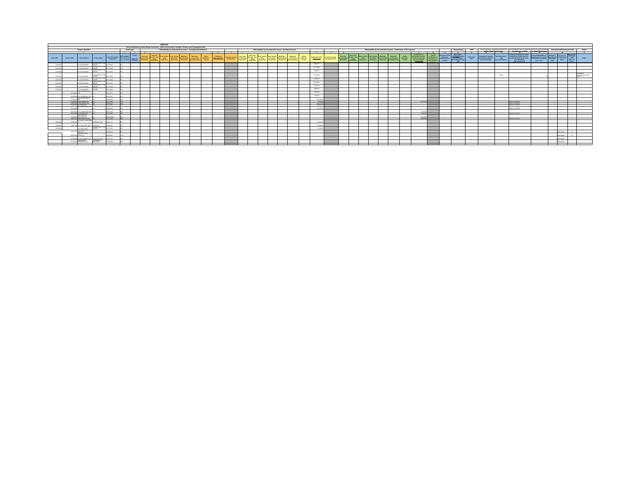|                  |                   |                                                                |                                  |                               |            | Annual Building Activity Report Summary - New Construction, Entitled, Permits and Completed Units | Table AZ |  |                                                            |                                                                                                                                                                                                                                                                                                                                                                                                                                  |                             |                                                           |                                                                                                                                                              |                                                       |  |                                                                               |                                 |                                                                                                         |  |  |                                                                |                  |               |              |                                  |                       |       |                                                                                                                                                                                                                                                                                           |                                                                                                                                                                                                                                                                                                                                                                                                                                                     |                                   |           |                     |
|------------------|-------------------|----------------------------------------------------------------|----------------------------------|-------------------------------|------------|---------------------------------------------------------------------------------------------------|----------|--|------------------------------------------------------------|----------------------------------------------------------------------------------------------------------------------------------------------------------------------------------------------------------------------------------------------------------------------------------------------------------------------------------------------------------------------------------------------------------------------------------|-----------------------------|-----------------------------------------------------------|--------------------------------------------------------------------------------------------------------------------------------------------------------------|-------------------------------------------------------|--|-------------------------------------------------------------------------------|---------------------------------|---------------------------------------------------------------------------------------------------------|--|--|----------------------------------------------------------------|------------------|---------------|--------------|----------------------------------|-----------------------|-------|-------------------------------------------------------------------------------------------------------------------------------------------------------------------------------------------------------------------------------------------------------------------------------------------|-----------------------------------------------------------------------------------------------------------------------------------------------------------------------------------------------------------------------------------------------------------------------------------------------------------------------------------------------------------------------------------------------------------------------------------------------------|-----------------------------------|-----------|---------------------|
|                  |                   | Project Identifier                                             |                                  |                               | Unit Types |                                                                                                   |          |  | Affordability by Household Incomes - Completed Entitlement |                                                                                                                                                                                                                                                                                                                                                                                                                                  |                             |                                                           |                                                                                                                                                              | Affordability by Household Incomes - Building Permits |  |                                                                               |                                 |                                                                                                         |  |  | Affordability by Household Incomes - Certificates of Occupancy |                  |               | Streamlining | <b>Infill</b>                    |                       |       | MERINE WIEN PERSONAL PASSESSING TROUBLES WEINGER PERSONAL<br>Angletence or Dead                                                                                                                                                                                                           | <b>Court Bookstate</b>                                                                                                                                                                                                                                                                                                                                                                                                                              | <b>Demolished Destroyed Units</b> |           | <b>Notes</b>        |
|                  |                   |                                                                |                                  |                               | $\cdots$   |                                                                                                   |          |  |                                                            |                                                                                                                                                                                                                                                                                                                                                                                                                                  |                             |                                                           |                                                                                                                                                              |                                                       |  |                                                                               | $\mathbf{r}$                    | $\sim$                                                                                                  |  |  |                                                                |                  | $-\mathbf{u}$ | 14           |                                  | angles Dans Pentrimps |       |                                                                                                                                                                                                                                                                                           |                                                                                                                                                                                                                                                                                                                                                                                                                                                     |                                   |           |                     |
| Prior APN        | Current APN       | Street Address                                                 | Project Name <sup>1</sup>        |                               |            |                                                                                                   |          |  |                                                            | $\begin{tabular}{ c c } \hline Alice & \textit{M} & \textit{M} & \textit{M} & \textit{M} & \textit{M} & \textit{M} & \textit{M} & \textit{M} & \textit{M} & \textit{M} & \textit{M} & \textit{M} & \textit{M} & \textit{M} & \textit{M} & \textit{M} & \textit{M} & \textit{M} & \textit{M} & \textit{M} & \textit{M} & \textit{M} & \textit{M} & \textit{M} & \textit{M} & \textit{M} & \textit{M} & \textit{M} & \textit{M} &$ | Enthiament<br>Data Approved | Particular issued May Law<br>Excitements  .<br>Restricted | , Very Law Score Score Law Income Moderate Moderate<br>  Deed Deed Non-Deed Nocome Deed Noceme Non<br>  Deed Restricted Newthined Restricted Deed-Restricted |                                                       |  | $\begin{array}{c} \text{Alcou}\\ \text{Modular} \end{array}$<br><b>Income</b> |                                 | <b>Building Permits # of Units Issued<br/>Date Issued # Building Permits</b><br><b>Building Pormits</b> |  |  |                                                                |                  |               |              | <b>INSE Units?</b><br><b>YN'</b> |                       |       | financial assistance or deed<br>Assistance Programs Deed Regnization regnidations, explain how the Tax Racch Development The units of the Internet The units (terms) and the internet of the Internet County of the Internet County of the Internet county of<br><b>Bee instructions!</b> | $\begin{tabular}{l c c c} \hline \textbf{Even of } \textbf{A}\textbf{Nochability or}\\ \hline \textbf{Dees Section (paseq)}\\ \hline (of a function (paseq) & \textbf{Oneorem} \\ \hline (of a function (paseq) & \textbf{Oneorem} \\ \hline \end{tabular} \begin{tabular}{l c c c} \hline \textbf{Oneorem} & \textbf{Oneorem} \\ \hline \textbf{Oneorem} & \textbf{Oneorem} \\ \hline \textbf{Oneorem} & \textbf{Oneorem} \\ \hline \end{tabular}$ |                                   | Destroyed | Notes <sup>*</sup>  |
|                  |                   | <b>VA GENERA</b>                                               | CLING PROP / THE                 |                               |            |                                                                                                   |          |  |                                                            |                                                                                                                                                                                                                                                                                                                                                                                                                                  |                             |                                                           |                                                                                                                                                              |                                                       |  |                                                                               | awgon?                          |                                                                                                         |  |  |                                                                |                  |               |              |                                  |                       |       |                                                                                                                                                                                                                                                                                           |                                                                                                                                                                                                                                                                                                                                                                                                                                                     |                                   |           |                     |
| <b>Britannia</b> |                   | <b>IN GENERAL</b>                                              | CUNG PROP / THE                  |                               |            |                                                                                                   |          |  |                                                            |                                                                                                                                                                                                                                                                                                                                                                                                                                  |                             |                                                           |                                                                                                                                                              |                                                       |  |                                                                               | BITTIOTH                        |                                                                                                         |  |  |                                                                |                  |               |              |                                  |                       |       |                                                                                                                                                                                                                                                                                           |                                                                                                                                                                                                                                                                                                                                                                                                                                                     |                                   |           |                     |
| 7072203          |                   | AMERICANS                                                      | CUNG PROP / TH<br><b>ACCORD</b>  | <b>HELAM</b>                  |            |                                                                                                   |          |  |                                                            |                                                                                                                                                                                                                                                                                                                                                                                                                                  |                             |                                                           |                                                                                                                                                              |                                                       |  |                                                                               | awoone                          |                                                                                                         |  |  |                                                                |                  |               |              |                                  |                       |       |                                                                                                                                                                                                                                                                                           |                                                                                                                                                                                                                                                                                                                                                                                                                                                     |                                   |           |                     |
|                  |                   |                                                                | YOUNG PROP / TH                  |                               |            |                                                                                                   |          |  |                                                            |                                                                                                                                                                                                                                                                                                                                                                                                                                  |                             |                                                           |                                                                                                                                                              |                                                       |  |                                                                               | BITTIOTH                        |                                                                                                         |  |  |                                                                |                  |               |              |                                  |                       | Other |                                                                                                                                                                                                                                                                                           |                                                                                                                                                                                                                                                                                                                                                                                                                                                     |                                   |           | Development Control |
|                  |                   | <b>MA GAVERNA</b>                                              | CUNG PROP / TH                   |                               |            |                                                                                                   |          |  |                                                            |                                                                                                                                                                                                                                                                                                                                                                                                                                  |                             |                                                           |                                                                                                                                                              |                                                       |  |                                                                               |                                 |                                                                                                         |  |  |                                                                |                  |               |              |                                  |                       |       |                                                                                                                                                                                                                                                                                           |                                                                                                                                                                                                                                                                                                                                                                                                                                                     |                                   |           |                     |
| <b>BERNHAM</b>   |                   | <b>IN GENERAL</b>                                              | CLING PROP / 1                   |                               |            |                                                                                                   |          |  |                                                            |                                                                                                                                                                                                                                                                                                                                                                                                                                  |                             |                                                           |                                                                                                                                                              |                                                       |  |                                                                               | awoone                          |                                                                                                         |  |  |                                                                |                  |               |              |                                  |                       |       |                                                                                                                                                                                                                                                                                           |                                                                                                                                                                                                                                                                                                                                                                                                                                                     |                                   |           |                     |
| 707220           |                   | <b>NATIONAL VIV</b>                                            | AGE CO.<br>CLING PROP / TH       |                               |            |                                                                                                   |          |  |                                                            |                                                                                                                                                                                                                                                                                                                                                                                                                                  |                             |                                                           |                                                                                                                                                              |                                                       |  |                                                                               | BITTIOTH                        |                                                                                                         |  |  |                                                                |                  |               |              |                                  |                       |       |                                                                                                                                                                                                                                                                                           |                                                                                                                                                                                                                                                                                                                                                                                                                                                     |                                   |           |                     |
| <b>Nichols</b>   |                   | AMERICANS                                                      | <b>DO MAG</b><br>CUNG PROP / THE | <b>UNITARY AT ANY ART</b>     |            |                                                                                                   |          |  |                                                            |                                                                                                                                                                                                                                                                                                                                                                                                                                  |                             |                                                           |                                                                                                                                                              |                                                       |  |                                                                               | aragona                         |                                                                                                         |  |  |                                                                |                  |               |              |                                  |                       |       |                                                                                                                                                                                                                                                                                           |                                                                                                                                                                                                                                                                                                                                                                                                                                                     |                                   |           |                     |
| <b>BEFFERE</b>   |                   | <b>AMERICANS</b>                                               |                                  | <b>ANAN, KINA</b>             |            |                                                                                                   |          |  |                                                            |                                                                                                                                                                                                                                                                                                                                                                                                                                  |                             |                                                           |                                                                                                                                                              |                                                       |  |                                                                               | awagona                         |                                                                                                         |  |  |                                                                |                  |               |              |                                  |                       |       |                                                                                                                                                                                                                                                                                           |                                                                                                                                                                                                                                                                                                                                                                                                                                                     |                                   |           |                     |
|                  | <b>TEAM</b>       | THE CASTLE LAKE                                                |                                  | 17:0612                       |            |                                                                                                   |          |  |                                                            |                                                                                                                                                                                                                                                                                                                                                                                                                                  |                             |                                                           |                                                                                                                                                              |                                                       |  |                                                                               | 3/6/2018                        |                                                                                                         |  |  |                                                                |                  |               |              |                                  |                       |       |                                                                                                                                                                                                                                                                                           |                                                                                                                                                                                                                                                                                                                                                                                                                                                     |                                   |           |                     |
|                  |                   | Telementary and Ch. Adolban Will Per<br><b><i>EDMANDED</i></b> |                                  | 100011                        |            |                                                                                                   |          |  |                                                            |                                                                                                                                                                                                                                                                                                                                                                                                                                  |                             |                                                           |                                                                                                                                                              |                                                       |  |                                                                               | 192018                          |                                                                                                         |  |  |                                                                |                  |               |              |                                  |                       |       |                                                                                                                                                                                                                                                                                           |                                                                                                                                                                                                                                                                                                                                                                                                                                                     |                                   |           |                     |
|                  | <b>ATTGATE</b>    |                                                                |                                  | <b>ANGLICA</b>                |            |                                                                                                   |          |  |                                                            |                                                                                                                                                                                                                                                                                                                                                                                                                                  |                             |                                                           |                                                                                                                                                              |                                                       |  |                                                                               | <b>TRIMADES</b>                 |                                                                                                         |  |  |                                                                |                  |               |              |                                  |                       |       |                                                                                                                                                                                                                                                                                           |                                                                                                                                                                                                                                                                                                                                                                                                                                                     |                                   |           |                     |
|                  |                   | POPOSAL LANCE MAIN AVE<br>72820014 17330 Rhozes, DR            |                                  | <b>MARAGEMENT</b><br>Margaret |            |                                                                                                   |          |  |                                                            |                                                                                                                                                                                                                                                                                                                                                                                                                                  |                             |                                                           |                                                                                                                                                              |                                                       |  |                                                                               | <b>District St</b><br>6/27/2018 |                                                                                                         |  |  |                                                                | <b>BOARDING</b>  |               |              |                                  |                       |       | <b>KENTAL SURVEY</b><br><b>GATAL SURVEY</b>                                                                                                                                                                                                                                               |                                                                                                                                                                                                                                                                                                                                                                                                                                                     |                                   |           |                     |
|                  |                   | TEASARTH VIS SANTUCE                                           |                                  | 017-0219                      |            |                                                                                                   |          |  |                                                            |                                                                                                                                                                                                                                                                                                                                                                                                                                  |                             |                                                           |                                                                                                                                                              |                                                       |  |                                                                               | <b>Afformed</b>                 |                                                                                                         |  |  |                                                                |                  |               |              |                                  |                       |       | <b>WASHINGTON</b>                                                                                                                                                                                                                                                                         |                                                                                                                                                                                                                                                                                                                                                                                                                                                     |                                   |           |                     |
|                  | <b>Television</b> | 200 SCOTTS BLUFF                                               |                                  | <b>CONTRACTOR</b>             |            |                                                                                                   |          |  |                                                            |                                                                                                                                                                                                                                                                                                                                                                                                                                  |                             |                                                           |                                                                                                                                                              |                                                       |  |                                                                               | <b>TENSON</b>                   |                                                                                                         |  |  |                                                                |                  |               |              |                                  |                       |       | <b>CATAL GIRLEY</b>                                                                                                                                                                                                                                                                       |                                                                                                                                                                                                                                                                                                                                                                                                                                                     |                                   |           |                     |
|                  |                   | 5 O' ARGAINST IN                                               |                                  | <b>CALLED</b>                 |            |                                                                                                   |          |  |                                                            |                                                                                                                                                                                                                                                                                                                                                                                                                                  |                             |                                                           |                                                                                                                                                              |                                                       |  |                                                                               |                                 |                                                                                                         |  |  |                                                                | <b>Britisher</b> |               |              |                                  |                       |       |                                                                                                                                                                                                                                                                                           |                                                                                                                                                                                                                                                                                                                                                                                                                                                     |                                   |           |                     |
|                  |                   | 76527065-875 W MAIN AVE                                        |                                  | 3017-0529                     |            |                                                                                                   |          |  |                                                            |                                                                                                                                                                                                                                                                                                                                                                                                                                  |                             |                                                           |                                                                                                                                                              |                                                       |  |                                                                               |                                 |                                                                                                         |  |  |                                                                | 5162018          |               |              |                                  |                       |       | <b>KINTAL SURVEY</b>                                                                                                                                                                                                                                                                      |                                                                                                                                                                                                                                                                                                                                                                                                                                                     |                                   |           |                     |
|                  | <b>Michael</b>    | <b>UGS ALTAUND</b><br><b>Advised Arts</b>                      |                                  |                               |            |                                                                                                   |          |  |                                                            |                                                                                                                                                                                                                                                                                                                                                                                                                                  |                             |                                                           |                                                                                                                                                              |                                                       |  |                                                                               |                                 |                                                                                                         |  |  |                                                                | <b>ALCOHOL:</b>  |               |              |                                  |                       |       |                                                                                                                                                                                                                                                                                           |                                                                                                                                                                                                                                                                                                                                                                                                                                                     |                                   |           |                     |
|                  |                   | 72054035 1490 DANN AVE 82                                      |                                  | 2017-0204                     |            |                                                                                                   |          |  |                                                            |                                                                                                                                                                                                                                                                                                                                                                                                                                  |                             |                                                           |                                                                                                                                                              |                                                       |  |                                                                               |                                 |                                                                                                         |  |  |                                                                | 3232018          |               |              |                                  |                       |       | <b>GATAL SURVEY</b>                                                                                                                                                                                                                                                                       |                                                                                                                                                                                                                                                                                                                                                                                                                                                     |                                   |           |                     |
|                  |                   | u wasi wakati                                                  |                                  |                               |            |                                                                                                   |          |  |                                                            |                                                                                                                                                                                                                                                                                                                                                                                                                                  |                             |                                                           |                                                                                                                                                              |                                                       |  |                                                                               |                                 |                                                                                                         |  |  |                                                                |                  |               |              |                                  |                       |       |                                                                                                                                                                                                                                                                                           |                                                                                                                                                                                                                                                                                                                                                                                                                                                     |                                   |           |                     |
|                  |                   | 50 CALLE DEL RE                                                |                                  |                               |            |                                                                                                   |          |  |                                                            |                                                                                                                                                                                                                                                                                                                                                                                                                                  |                             |                                                           |                                                                                                                                                              |                                                       |  |                                                                               |                                 |                                                                                                         |  |  |                                                                |                  |               |              |                                  |                       |       |                                                                                                                                                                                                                                                                                           |                                                                                                                                                                                                                                                                                                                                                                                                                                                     |                                   |           |                     |
|                  |                   | <b>DOM ANYWHOLE</b>                                            | CLING PROP / THE                 |                               |            |                                                                                                   |          |  |                                                            |                                                                                                                                                                                                                                                                                                                                                                                                                                  |                             |                                                           |                                                                                                                                                              |                                                       |  |                                                                               | <b>A MARINE</b>                 |                                                                                                         |  |  |                                                                |                  |               |              |                                  |                       |       |                                                                                                                                                                                                                                                                                           |                                                                                                                                                                                                                                                                                                                                                                                                                                                     |                                   |           |                     |
|                  |                   | To an Islamited<br>THE TORREST SEPTEMBER                       |                                  | <b>FERN ANN</b>               |            |                                                                                                   |          |  |                                                            |                                                                                                                                                                                                                                                                                                                                                                                                                                  |                             |                                                           |                                                                                                                                                              |                                                       |  |                                                                               |                                 |                                                                                                         |  |  |                                                                |                  |               |              |                                  |                       |       |                                                                                                                                                                                                                                                                                           |                                                                                                                                                                                                                                                                                                                                                                                                                                                     | <b>MONEY</b>                      |           |                     |
|                  | <b>PEPPER</b>     | ow silones<br><b>NERVY ST</b>                                  |                                  | <b>HEARING</b>                |            |                                                                                                   |          |  |                                                            |                                                                                                                                                                                                                                                                                                                                                                                                                                  |                             |                                                           |                                                                                                                                                              |                                                       |  |                                                                               |                                 |                                                                                                         |  |  |                                                                |                  |               |              |                                  |                       |       |                                                                                                                                                                                                                                                                                           |                                                                                                                                                                                                                                                                                                                                                                                                                                                     |                                   |           |                     |
|                  |                   | Telroscop 35-59 W DUNNE AVE                                    | <b>CARD MEN CAR</b>              | FFOR ANN                      |            |                                                                                                   |          |  |                                                            |                                                                                                                                                                                                                                                                                                                                                                                                                                  |                             |                                                           |                                                                                                                                                              |                                                       |  |                                                                               |                                 |                                                                                                         |  |  |                                                                |                  |               |              |                                  |                       |       |                                                                                                                                                                                                                                                                                           |                                                                                                                                                                                                                                                                                                                                                                                                                                                     | www.com                           |           |                     |
|                  |                   | 06030-16840<br>extremely selectionary pro-                     | A DARKER<br>VWTEREY              | <b>MAGLANIC</b>               |            |                                                                                                   |          |  |                                                            |                                                                                                                                                                                                                                                                                                                                                                                                                                  |                             |                                                           |                                                                                                                                                              |                                                       |  |                                                                               |                                 |                                                                                                         |  |  |                                                                |                  |               |              |                                  |                       |       |                                                                                                                                                                                                                                                                                           |                                                                                                                                                                                                                                                                                                                                                                                                                                                     | Permittenet                       |           |                     |
|                  |                   |                                                                |                                  |                               |            |                                                                                                   |          |  |                                                            |                                                                                                                                                                                                                                                                                                                                                                                                                                  |                             |                                                           |                                                                                                                                                              |                                                       |  |                                                                               |                                 |                                                                                                         |  |  |                                                                |                  |               |              |                                  |                       |       |                                                                                                                                                                                                                                                                                           |                                                                                                                                                                                                                                                                                                                                                                                                                                                     |                                   |           |                     |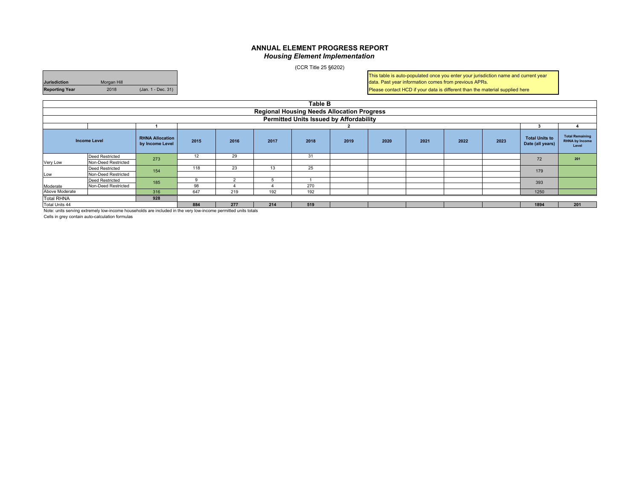#### **ANNUAL ELEMENT PROGRESS REPORT***Housing Element Implementation*

(CCR Title 25 §6202)

**Jurisdiction** Morgan Hill **Reporting Year** 2018 (Jan. 1 - Dec. 31) This table is auto-populated once you enter your jurisdiction name and current year data. Past year information comes from previous APRs.

Please contact HCD if your data is different than the material supplied here

|                   |                     |                                           |      |          |      | <b>Table B</b>                                    |      |      |      |      |      |                                           |                                                          |
|-------------------|---------------------|-------------------------------------------|------|----------|------|---------------------------------------------------|------|------|------|------|------|-------------------------------------------|----------------------------------------------------------|
|                   |                     |                                           |      |          |      | <b>Regional Housing Needs Allocation Progress</b> |      |      |      |      |      |                                           |                                                          |
|                   |                     |                                           |      |          |      | <b>Permitted Units Issued by Affordability</b>    |      |      |      |      |      |                                           |                                                          |
|                   |                     |                                           |      |          |      |                                                   |      |      |      |      |      |                                           |                                                          |
|                   | <b>Income Level</b> | <b>RHNA Allocation</b><br>by Income Level | 2015 | 2016     | 2017 | 2018                                              | 2019 | 2020 | 2021 | 2022 | 2023 | <b>Total Units to</b><br>Date (all years) | <b>Total Remaining</b><br><b>RHNA by Income</b><br>Level |
|                   | Deed Restricted     | 273                                       | 12   | 29       |      | 31                                                |      |      |      |      |      | 72                                        | 201                                                      |
| Very Low          | Non-Deed Restricted |                                           |      |          |      |                                                   |      |      |      |      |      |                                           |                                                          |
|                   | Deed Restricted     | 154                                       | 118  | 23       | 13   | 25                                                |      |      |      |      |      | 179                                       |                                                          |
| Low               | Non-Deed Restricted |                                           |      |          |      |                                                   |      |      |      |      |      |                                           |                                                          |
|                   | Deed Restricted     | 185                                       |      |          |      |                                                   |      |      |      |      |      | 393                                       |                                                          |
| Moderate          | Non-Deed Restricted |                                           | 98   |          |      | 270                                               |      |      |      |      |      |                                           |                                                          |
| Above Moderate    |                     | 316                                       | 647  | 219      | 192  | 192                                               |      |      |      |      |      | 1250                                      |                                                          |
| <b>Total RHNA</b> |                     | 928                                       |      |          |      |                                                   |      |      |      |      |      |                                           |                                                          |
| Total Units 44    | .                   | .<br>.                                    | 884  | 277<br>. | 214  | 519                                               |      |      |      |      |      | 1894                                      | 201                                                      |

Note: units serving extremely low-income households are included in the very low-income permitted units totals

Cells in grey contain auto-calculation formulas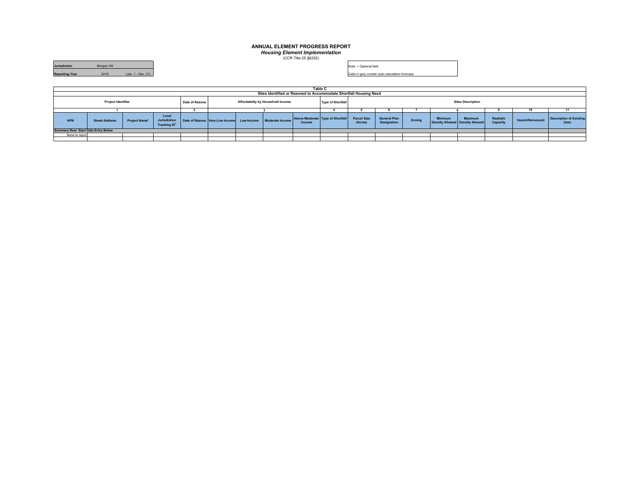#### **ANNUAL ELEMENT PROGRESS REPORT**

*Housing Element Implementation* (CCR Title 25 §6202)

| <b>Jurisdiction</b>   | Morgan Hill |                    |
|-----------------------|-------------|--------------------|
| <b>Reporting Year</b> | 2018        | (Jan. 1 - Dec. 31) |

Note: + Optional field

Cells in grey contain auto-calculation formulas

|                                            |                           |               |                                                   |                |                                |            |                                                                   |        | Table C                          |                               |                                           |        |         |                                            |                       |                  |                                               |
|--------------------------------------------|---------------------------|---------------|---------------------------------------------------|----------------|--------------------------------|------------|-------------------------------------------------------------------|--------|----------------------------------|-------------------------------|-------------------------------------------|--------|---------|--------------------------------------------|-----------------------|------------------|-----------------------------------------------|
|                                            |                           |               |                                                   |                |                                |            | Sites Identified or Rezoned to Accommodate Shortfall Housing Need |        |                                  |                               |                                           |        |         |                                            |                       |                  |                                               |
|                                            | <b>Project Identifier</b> |               |                                                   | Date of Rezone |                                |            | Affordability by Household Income                                 |        | <b>Type of Shortfall</b>         |                               |                                           |        |         | <b>Sites Description</b>                   |                       |                  |                                               |
|                                            |                           |               |                                                   |                |                                |            |                                                                   |        |                                  |                               |                                           |        |         |                                            |                       |                  |                                               |
| <b>APN</b>                                 | <b>Street Address</b>     | Project Name* | Local<br>Jurisdiction<br>Tracking ID <sup>+</sup> |                | Date of Rezone Very-Low Income | Low-Income | Moderate Income                                                   | Income | Above Moderate Type of Shortfall | <b>Parcel Size</b><br>(Acres) | <b>General Plan</b><br><b>Designation</b> | Zoning | Minimum | Maximum<br>Density Allowed Density Allowed | Realistic<br>Capacity | Vacant/Nonvacant | <b>Description of Existing</b><br><b>Uses</b> |
| <b>Summary Row: Start Data Entry Below</b> |                           |               |                                                   |                |                                |            |                                                                   |        |                                  |                               |                                           |        |         |                                            |                       |                  |                                               |
| None to report                             |                           |               |                                                   |                |                                |            |                                                                   |        |                                  |                               |                                           |        |         |                                            |                       |                  |                                               |
|                                            |                           |               |                                                   |                |                                |            |                                                                   |        |                                  |                               |                                           |        |         |                                            |                       |                  |                                               |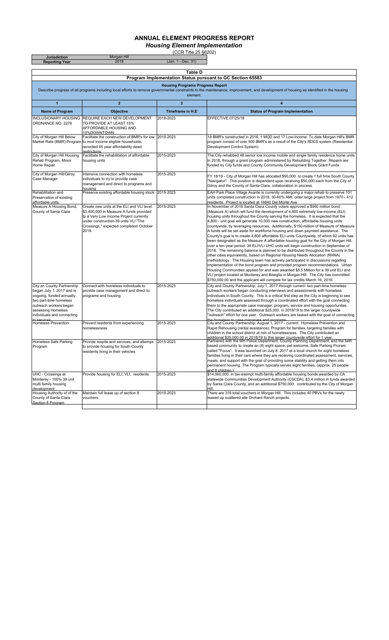### **ANNUAL ELEMENT PROGRESS REPORT**

*Housing Element Implementation*

(CCR Title 25 §6202)

| <b>Jurisdiction</b><br><b>Reporting Year</b>                                                                                                                                                 | <b>Morgan Hill</b><br>2018                                                                                                                                                                                                  | (CCR THE 20 $\frac{30}{20}$<br>(Jan. 1 - Dec. 31)   |                                                                                                                                                                                                                                                                                                                                                                                                                                                                                                                                                                                                                                                                                                                                                                                                                                                                                                                                                                                                                                                                                                                                                                                                                                                                                                                                                                                                               |
|----------------------------------------------------------------------------------------------------------------------------------------------------------------------------------------------|-----------------------------------------------------------------------------------------------------------------------------------------------------------------------------------------------------------------------------|-----------------------------------------------------|---------------------------------------------------------------------------------------------------------------------------------------------------------------------------------------------------------------------------------------------------------------------------------------------------------------------------------------------------------------------------------------------------------------------------------------------------------------------------------------------------------------------------------------------------------------------------------------------------------------------------------------------------------------------------------------------------------------------------------------------------------------------------------------------------------------------------------------------------------------------------------------------------------------------------------------------------------------------------------------------------------------------------------------------------------------------------------------------------------------------------------------------------------------------------------------------------------------------------------------------------------------------------------------------------------------------------------------------------------------------------------------------------------------|
|                                                                                                                                                                                              |                                                                                                                                                                                                                             |                                                     |                                                                                                                                                                                                                                                                                                                                                                                                                                                                                                                                                                                                                                                                                                                                                                                                                                                                                                                                                                                                                                                                                                                                                                                                                                                                                                                                                                                                               |
|                                                                                                                                                                                              |                                                                                                                                                                                                                             | <b>Table D</b>                                      | Program Implementation Status pursuant to GC Section 65583                                                                                                                                                                                                                                                                                                                                                                                                                                                                                                                                                                                                                                                                                                                                                                                                                                                                                                                                                                                                                                                                                                                                                                                                                                                                                                                                                    |
|                                                                                                                                                                                              |                                                                                                                                                                                                                             | <b>Housing Programs Progress Report</b><br>element. | Describe progress of all programs including local efforts to remove governmental constraints to the maintenance, improvement, and development of housing as identified in the housing                                                                                                                                                                                                                                                                                                                                                                                                                                                                                                                                                                                                                                                                                                                                                                                                                                                                                                                                                                                                                                                                                                                                                                                                                         |
| $\mathbf{1}$                                                                                                                                                                                 | $\overline{\mathbf{2}}$                                                                                                                                                                                                     | 3                                                   | 4                                                                                                                                                                                                                                                                                                                                                                                                                                                                                                                                                                                                                                                                                                                                                                                                                                                                                                                                                                                                                                                                                                                                                                                                                                                                                                                                                                                                             |
| <b>Name of Program</b>                                                                                                                                                                       | <b>Objective</b>                                                                                                                                                                                                            | Timeframe in H.E                                    | <b>Status of Program Implementation</b>                                                                                                                                                                                                                                                                                                                                                                                                                                                                                                                                                                                                                                                                                                                                                                                                                                                                                                                                                                                                                                                                                                                                                                                                                                                                                                                                                                       |
| <b>INCLUSIONARY HOUSING</b><br>ORDNANCE NO. 2278                                                                                                                                             | REQUIRE EACH NEW DEVELOPMENT<br>TO PROVIDE AT LEAST 15%<br>AFFORDABLE HOUSING AND<br>10%DOWNTOWN                                                                                                                            | 2018-2023                                           | EFFECTIVE 07/25/18                                                                                                                                                                                                                                                                                                                                                                                                                                                                                                                                                                                                                                                                                                                                                                                                                                                                                                                                                                                                                                                                                                                                                                                                                                                                                                                                                                                            |
| City of Morgan Hill Below                                                                                                                                                                    | Facilitate the construction of BMR's for low<br>Market Rate (BMR) Program to mod income eligible households,<br>recorded 45 year affordability deed<br>restrictions                                                         | 2015-2023                                           | 18 BMR's constructed in 2018, 1 MOD and 17 Low-income. To date Morgan Hill's BMR<br>program consist of over 500 BMR's as a result of the City's RDCS system (Residential<br>Development Control System)                                                                                                                                                                                                                                                                                                                                                                                                                                                                                                                                                                                                                                                                                                                                                                                                                                                                                                                                                                                                                                                                                                                                                                                                       |
| City of Morgan Hill Housing<br>Rehab Program, Minor<br>Home Repair                                                                                                                           | Facilitate the rehabilitation of affordable<br>housing units                                                                                                                                                                | 2015-2023                                           | The City rehabbed 48 senior low income mobile and single family residence home units<br>in 2018, through a grant program administered by Rebuilding Together. Repairs are<br>funded by City funds and County Community Development Block Grant Funds                                                                                                                                                                                                                                                                                                                                                                                                                                                                                                                                                                                                                                                                                                                                                                                                                                                                                                                                                                                                                                                                                                                                                          |
| City of Morgan Hill/Gilroy<br>Case Manager                                                                                                                                                   | Intensive connection with homeless<br>individuals to try to provide case<br>management and direct to programs and<br>housina                                                                                                | 2015-2023                                           | FY 18/19 - City of Morgan Hill has allocated \$50,000. to create 1 full time South County<br>"Navigator". This position is dependent upon receiving \$50,000 each from the City of<br>Gilroy and the County of Santa Clara, collaboration in process.                                                                                                                                                                                                                                                                                                                                                                                                                                                                                                                                                                                                                                                                                                                                                                                                                                                                                                                                                                                                                                                                                                                                                         |
| Rehabilitation and<br>Preservation of existing<br>affordable units                                                                                                                           | Preserve existing affordable housing stock                                                                                                                                                                                  | 2015-2023                                           | EAH Park Place Village Avante is currently undergoing a major rehab to preserve 101<br>units completed construction in 2018, 30-60% AMI, older large project from 1970 - 412<br>residents. Project is located at 16840 Del Monte Ave                                                                                                                                                                                                                                                                                                                                                                                                                                                                                                                                                                                                                                                                                                                                                                                                                                                                                                                                                                                                                                                                                                                                                                          |
| Measure A Housing Bond,<br>County of Santa Clara                                                                                                                                             | Create new units at the ELI and VLI level.<br>\$3,400,000 in Measure A funds provided<br>tp a Very Low Income Project currently<br>under construction-39 units VLI "The<br>Crossings," expected completion October<br>2019. | 2015-2023                                           | In November of 2016 Santa Clara County voters approved a \$950 million bond<br>(Measure A) which will fund the development of 4,800 extremely low-income (ELI)<br>housing units throughout the County serving the homeless. It is expected that the<br>4,800 - unit goal will generate 10,000 new construction, affordable housing units<br>countywide, by leveraging resources. Additionally, \$150 million of Measure of Measure<br>A funds will be set aside for workforce housing and down payment assistance. The<br>County's goal is to create 4,800 affordable ELI units Countywide, of which 92 units hae<br>been designated as the Measure A affordable housing goal for the City of Morgan Hill,<br>over a ten-year period. 39 ELI/VLI UHC units will begin construction in September of<br>2018. The remaining balance is planned to be distributed throughout the County in the<br>other cities equivalently, based on Regional Housing Needs Allocation (RHNA)<br>methodology. The Housing team has actively participated in discussions regading<br>implementation of the bond program and provided program recommendations. Urban<br>Housing Communities applied for and was awarded \$5.5 Million for a 39 unit ELI and<br>VLI project located at Monterey and Biseglia in Morgan Hill. The City has committed<br>\$750,000.00 and the applicant will compete for tax credits March 16, 2018. |
| City an County Partnership<br>began July 1, 2017 and is<br>ongoing, funded annually,<br>two part-time homeless<br>outreach workers began<br>assessing Homeless<br>individuals and connecting | Connect with homeless individuals to<br>provide case management and direct to<br>programs and housing                                                                                                                       | 2015-2023                                           | City and County Partnership: July 1, 2017 through current- two part-time homeless<br>outreach workers began conducting interviews and assessments with homeless<br>individuals in South County. This is a critical first step as the City is beginning to see<br>homeless individuals assessed through a coordinated effort with the goal connecting<br>them to the appropriate case manager, program, service and housing opportunites.<br>The City contributed an additional \$25,000. in 2018/19 to the larger countywide<br>"outreach" effort for one year. Outreach workers are tasked with the goal of connecting                                                                                                                                                                                                                                                                                                                                                                                                                                                                                                                                                                                                                                                                                                                                                                                       |
| <b>Homeless Prevention</b>                                                                                                                                                                   | Prevent residents from experiencing<br>homelessness                                                                                                                                                                         | 2015-2023                                           | City and County Partnership: August 1, 2017 - current: Homeless Prevention and<br>Rapid Rehousing (rental assistance). Program for families, targeting families with<br>children in the school district at rish of homelessness. The City contributed an<br>ה 205 מחת 10 וה 2018/19 to this lar                                                                                                                                                                                                                                                                                                                                                                                                                                                                                                                                                                                                                                                                                                                                                                                                                                                                                                                                                                                                                                                                                                               |
| Homeless Safe Parking<br>Program                                                                                                                                                             | Provide respite and services, and attemps<br>to provide housing for South County<br>residents living in their vehicles                                                                                                      | 2015-2023                                           | Partnered with the MH Police Department, County Planning Department, and the faith<br>based community to create an (8) eight space, pet welcome, Safe Parking Proram<br>called "Focus". It was launched on July 8, 2017 at a local church for eight homeless<br>families living in their cars where they are receiving coordinated assessment, services,<br>meals, and support with the goal of providing some stability and getting them into<br>permanent housing. The Program typically serves eight families, (approx. 25 people<br>and 8 children.)                                                                                                                                                                                                                                                                                                                                                                                                                                                                                                                                                                                                                                                                                                                                                                                                                                                      |
| UHC - Crossings at<br>Monterey - 100% 39 unit<br>multi family housing                                                                                                                        | Provide housing for ELI, VLI, residents                                                                                                                                                                                     | 2015-2023                                           | \$14,000,000. in tax-exempt multi-family affordable housing bonds awarded by CA<br>statewide Communities Development Authority (CSCDA), \$3.4 million in funds awarded<br>by Santa Clara County, and an additional \$750,000. contributed by the City of Morgan<br>Hill                                                                                                                                                                                                                                                                                                                                                                                                                                                                                                                                                                                                                                                                                                                                                                                                                                                                                                                                                                                                                                                                                                                                       |
| development<br>Housing Authority of of the<br>County of Santa Clara<br>Section 8 Program                                                                                                     | Maintain full lease up of section 8<br>vouchers                                                                                                                                                                             | 2015-2023                                           | There are 319 total vouchers in Morgan Hill. This includes 40 PBVs for the newly<br>leased up scattered site Orchard Ranch projects.                                                                                                                                                                                                                                                                                                                                                                                                                                                                                                                                                                                                                                                                                                                                                                                                                                                                                                                                                                                                                                                                                                                                                                                                                                                                          |
|                                                                                                                                                                                              |                                                                                                                                                                                                                             |                                                     |                                                                                                                                                                                                                                                                                                                                                                                                                                                                                                                                                                                                                                                                                                                                                                                                                                                                                                                                                                                                                                                                                                                                                                                                                                                                                                                                                                                                               |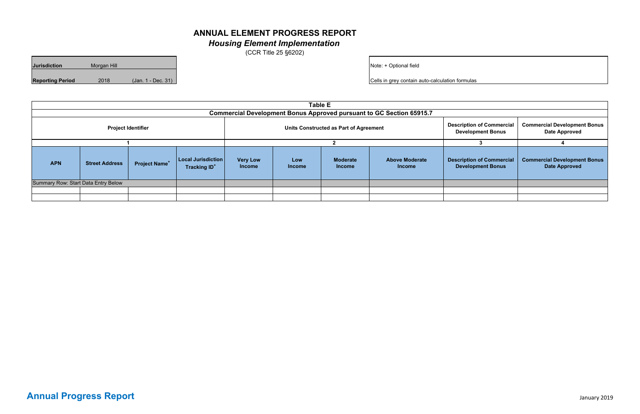| <b>Jurisdiction</b>     | Morgan Hill |                    |
|-------------------------|-------------|--------------------|
| <b>Reporting Period</b> | 2018        | (Jan. 1 - Dec. 31) |

|                                                                             | <b>Table E</b>        |                                 |                                                        |                                  |                      |                                                              |                                                             |                                                              |                                                             |
|-----------------------------------------------------------------------------|-----------------------|---------------------------------|--------------------------------------------------------|----------------------------------|----------------------|--------------------------------------------------------------|-------------------------------------------------------------|--------------------------------------------------------------|-------------------------------------------------------------|
| <b>Commercial Development Bonus Approved pursuant to GC Section 65915.7</b> |                       |                                 |                                                        |                                  |                      |                                                              |                                                             |                                                              |                                                             |
| <b>Project Identifier</b>                                                   |                       |                                 | Units Constructed as Part of Agreement                 |                                  |                      | <b>Description of Commercial</b><br><b>Development Bonus</b> | <b>Commercial Development Bonus</b><br><b>Date Approved</b> |                                                              |                                                             |
|                                                                             |                       |                                 |                                                        |                                  |                      |                                                              |                                                             |                                                              |                                                             |
| <b>APN</b>                                                                  | <b>Street Address</b> | <b>Project Name<sup>+</sup></b> | Local Jurisdiction  <br><b>Tracking ID<sup>+</sup></b> | <b>Very Low</b><br><b>Income</b> | Low<br><b>Income</b> | <b>Moderate</b><br><b>Income</b>                             | <b>Above Moderate</b><br><b>Income</b>                      | <b>Description of Commercial</b><br><b>Development Bonus</b> | <b>Commercial Development Bonus</b><br><b>Date Approved</b> |
| Summary Row: Start Data Entry Below                                         |                       |                                 |                                                        |                                  |                      |                                                              |                                                             |                                                              |                                                             |
|                                                                             |                       |                                 |                                                        |                                  |                      |                                                              |                                                             |                                                              |                                                             |
|                                                                             |                       |                                 |                                                        |                                  |                      |                                                              |                                                             |                                                              |                                                             |

## **ANNUAL ELEMENT PROGRESS REPORT** *Housing Element Implementation*

(CCR Title 25 §6202)

Note: + Optional field

**Cells in grey contain auto-calculation formula** 

|          | v                |
|----------|------------------|
| ×<br>. . | ٦<br>×<br>v<br>× |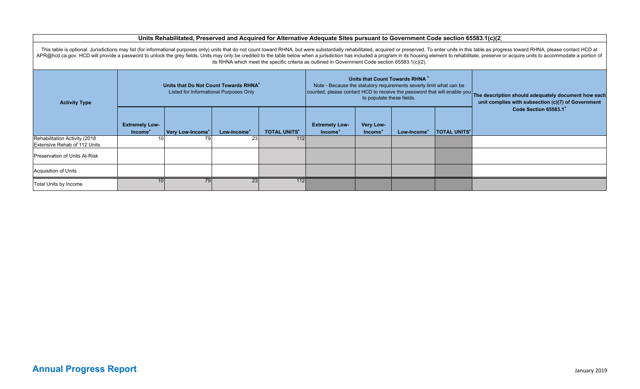#### **Units Rehabilitated, Preserved and Acquired for Alternative Adequate Sites pursuant to Government Code section 65583.1(c)(2)**

**Extremely Low-Income<sup>+</sup> Very Low-Income<sup>+</sup> Low-Income<sup>+</sup> TOTAL UNITS<sup>+</sup> Extremely Low- Income<sup>+</sup> Very Low- Income<sup>+</sup> Low-Income<sup>+</sup> TOTAL UNITS<sup>+</sup>** Rehabilitation Activity (2018 Extensive Rehab of 112 Units 10 79 23 112 Preservation of Units At-RiskAcquisition of Units Total Units by Income 10 10 10 23 23 23 This table is optional. Jurisdictions may list (for informational purposes only) units that do not count toward RHNA, but were substantially rehabilitated, acquired or preserved. To enter units in this table as progress to APR@hcd.ca.gov. HCD will provide a password to unlock the grey fields. Units may only be credited to the table below when a jurisdiction has included a program in its housing element to rehabilitate, preserve or acquire un its RHNA which meet the specific criteria as outlined in Government Code section 65583.1(c)(2). **Activity Type Units that Do Not Count Towards RHNA+** Listed for Informational Purposes Only **Units that Count Towards RHNA +** Note - Because the statutory requirements severly limit what can be counted, please contact HCD to receive the password that will enable you<br>to populate these fields. The description should adequately document how each unit complies with subsection (c)(7) of Government **Code Section 65583.1<sup>+</sup>**